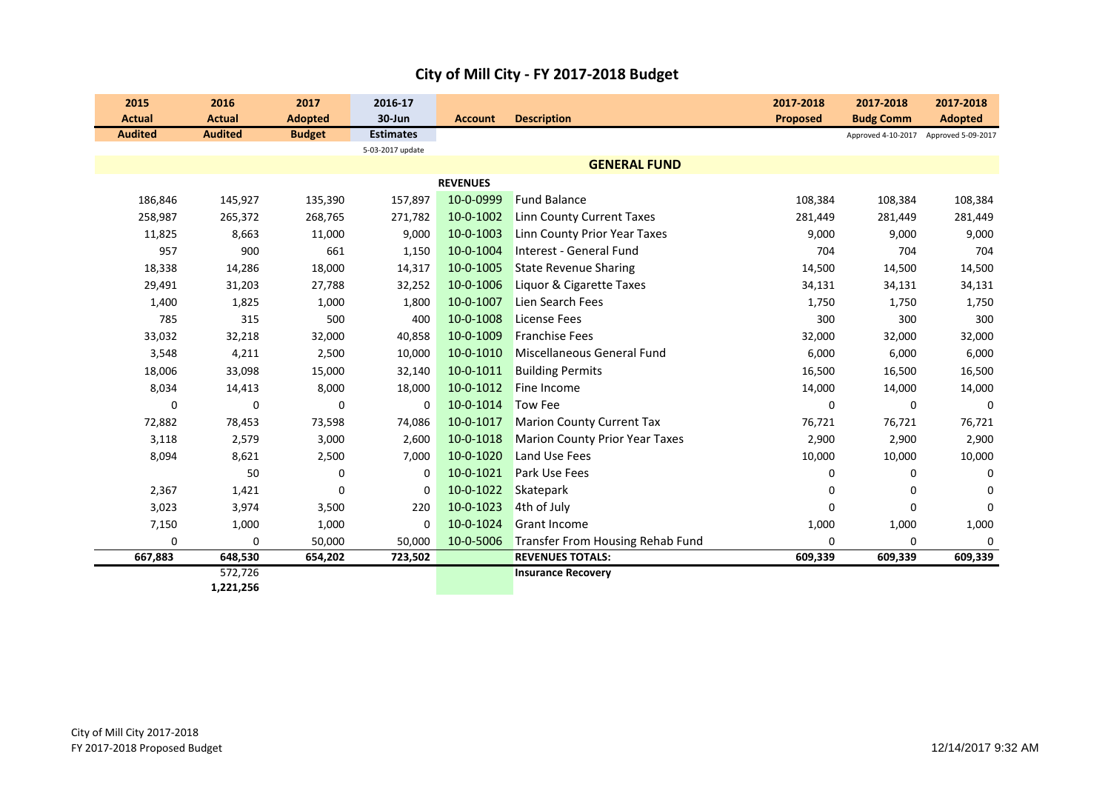| 2015                            | 2016                            | 2017                            | 2016-17<br>30-Jun |                 | <b>Description</b>                    | 2017-2018       | 2017-2018                              | 2017-2018                            |
|---------------------------------|---------------------------------|---------------------------------|-------------------|-----------------|---------------------------------------|-----------------|----------------------------------------|--------------------------------------|
| <b>Actual</b><br><b>Audited</b> | <b>Actual</b><br><b>Audited</b> | <b>Adopted</b><br><b>Budget</b> | <b>Estimates</b>  | <b>Account</b>  |                                       | <b>Proposed</b> | <b>Budg Comm</b><br>Approved 4-10-2017 | <b>Adopted</b><br>Approved 5-09-2017 |
|                                 |                                 |                                 | 5-03-2017 update  |                 |                                       |                 |                                        |                                      |
|                                 |                                 |                                 |                   |                 | <b>GENERAL FUND</b>                   |                 |                                        |                                      |
|                                 |                                 |                                 |                   | <b>REVENUES</b> |                                       |                 |                                        |                                      |
| 186,846                         | 145,927                         | 135,390                         | 157,897           | 10-0-0999       | <b>Fund Balance</b>                   | 108,384         | 108,384                                | 108,384                              |
| 258,987                         | 265,372                         | 268,765                         | 271,782           | 10-0-1002       | <b>Linn County Current Taxes</b>      | 281,449         | 281,449                                | 281,449                              |
| 11,825                          | 8,663                           | 11,000                          | 9,000             | 10-0-1003       | Linn County Prior Year Taxes          | 9,000           | 9,000                                  | 9,000                                |
| 957                             | 900                             | 661                             | 1,150             | 10-0-1004       | Interest - General Fund               | 704             | 704                                    | 704                                  |
| 18,338                          | 14,286                          | 18,000                          | 14,317            | 10-0-1005       | <b>State Revenue Sharing</b>          | 14,500          | 14,500                                 | 14,500                               |
| 29,491                          | 31,203                          | 27,788                          | 32,252            | 10-0-1006       | Liquor & Cigarette Taxes              | 34,131          | 34,131                                 | 34,131                               |
| 1,400                           | 1,825                           | 1,000                           | 1,800             | 10-0-1007       | Lien Search Fees                      | 1,750           | 1,750                                  | 1,750                                |
| 785                             | 315                             | 500                             | 400               | 10-0-1008       | License Fees                          | 300             | 300                                    | 300                                  |
| 33,032                          | 32,218                          | 32,000                          | 40,858            | 10-0-1009       | <b>Franchise Fees</b>                 | 32,000          | 32,000                                 | 32,000                               |
| 3,548                           | 4,211                           | 2,500                           | 10,000            | 10-0-1010       | Miscellaneous General Fund            | 6,000           | 6,000                                  | 6,000                                |
| 18,006                          | 33,098                          | 15,000                          | 32,140            | 10-0-1011       | <b>Building Permits</b>               | 16,500          | 16,500                                 | 16,500                               |
| 8,034                           | 14,413                          | 8,000                           | 18,000            | 10-0-1012       | Fine Income                           | 14,000          | 14,000                                 | 14,000                               |
| 0                               | 0                               | $\mathbf 0$                     | 0                 | 10-0-1014       | <b>Tow Fee</b>                        | 0               | 0                                      | $\mathbf 0$                          |
| 72,882                          | 78,453                          | 73,598                          | 74,086            | 10-0-1017       | <b>Marion County Current Tax</b>      | 76,721          | 76,721                                 | 76,721                               |
| 3,118                           | 2,579                           | 3,000                           | 2,600             | 10-0-1018       | <b>Marion County Prior Year Taxes</b> | 2,900           | 2,900                                  | 2,900                                |
| 8,094                           | 8,621                           | 2,500                           | 7,000             | 10-0-1020       | Land Use Fees                         | 10,000          | 10,000                                 | 10,000                               |
|                                 | 50                              | 0                               | 0                 | 10-0-1021       | Park Use Fees                         | 0               | 0                                      | $\Omega$                             |
| 2,367                           | 1,421                           | 0                               | 0                 | 10-0-1022       | Skatepark                             | 0               | $\Omega$                               | $\Omega$                             |
| 3,023                           | 3,974                           | 3,500                           | 220               | 10-0-1023       | 4th of July                           | 0               | $\mathbf 0$                            | 0                                    |
| 7,150                           | 1,000                           | 1,000                           | $\mathbf 0$       | 10-0-1024       | <b>Grant Income</b>                   | 1,000           | 1,000                                  | 1,000                                |
| 0                               | $\mathbf 0$                     | 50,000                          | 50,000            | 10-0-5006       | Transfer From Housing Rehab Fund      | 0               | $\mathbf 0$                            | $\Omega$                             |
| 667,883                         | 648,530                         | 654,202                         | 723,502           |                 | <b>REVENUES TOTALS:</b>               | 609,339         | 609,339                                | 609,339                              |
|                                 | 572,726<br>1,221,256            |                                 |                   |                 | <b>Insurance Recovery</b>             |                 |                                        |                                      |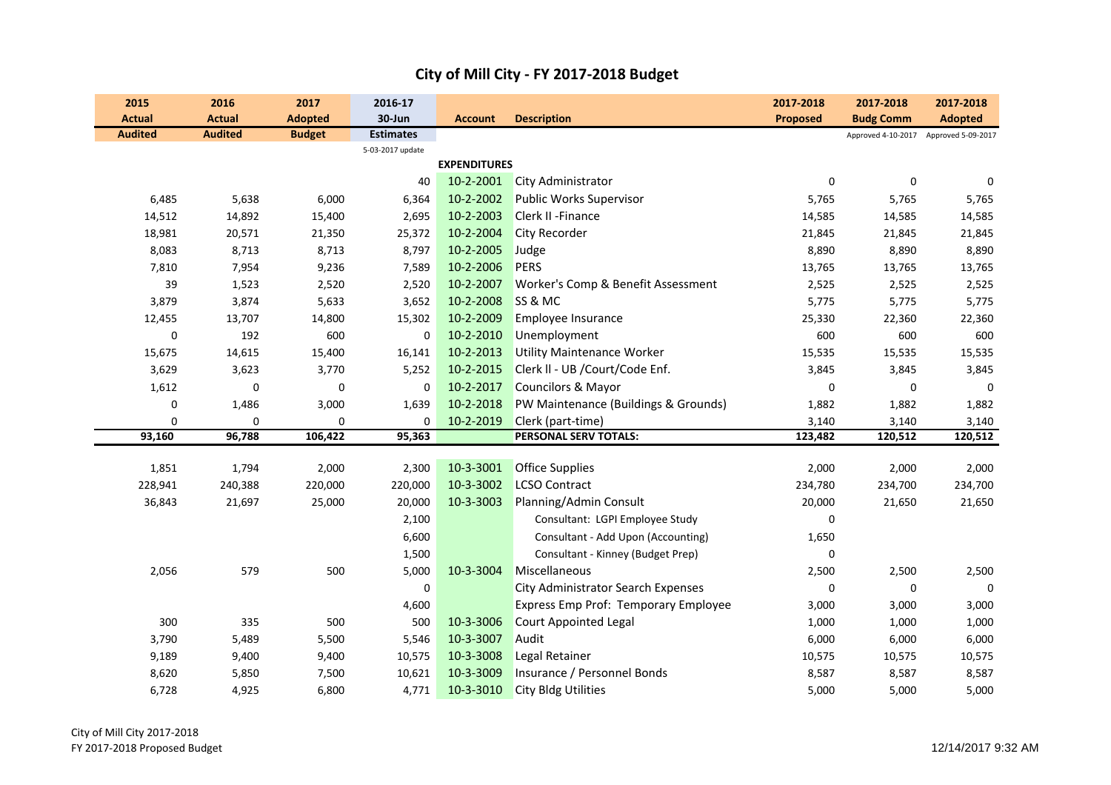| 2015                  | 2016                  | 2017             | 2016-17          |                     |                                                      | 2017-2018        | 2017-2018            | 2017-2018                             |
|-----------------------|-----------------------|------------------|------------------|---------------------|------------------------------------------------------|------------------|----------------------|---------------------------------------|
| <b>Actual</b>         | <b>Actual</b>         | <b>Adopted</b>   | 30-Jun           | <b>Account</b>      | <b>Description</b>                                   | Proposed         | <b>Budg Comm</b>     | <b>Adopted</b>                        |
| <b>Audited</b>        | <b>Audited</b>        | <b>Budget</b>    | <b>Estimates</b> |                     |                                                      |                  |                      | Approved 4-10-2017 Approved 5-09-2017 |
|                       |                       |                  | 5-03-2017 update | <b>EXPENDITURES</b> |                                                      |                  |                      |                                       |
|                       |                       |                  | 40               | 10-2-2001           |                                                      | $\mathbf 0$      |                      | $\mathbf 0$                           |
|                       |                       |                  |                  | 10-2-2002           | <b>City Administrator</b>                            |                  | $\mathbf 0$<br>5,765 |                                       |
| 6,485                 | 5,638                 | 6,000            | 6,364<br>2,695   | 10-2-2003           | <b>Public Works Supervisor</b><br>Clerk II - Finance | 5,765            |                      | 5,765                                 |
| 14,512<br>18,981      | 14,892<br>20,571      | 15,400<br>21,350 | 25,372           | 10-2-2004           | <b>City Recorder</b>                                 | 14,585<br>21,845 | 14,585<br>21,845     | 14,585<br>21,845                      |
| 8,083                 | 8,713                 | 8,713            | 8,797            | 10-2-2005           | Judge                                                | 8,890            | 8,890                | 8,890                                 |
|                       |                       |                  |                  | 10-2-2006           | <b>PERS</b>                                          |                  |                      |                                       |
| 7,810<br>39           | 7,954                 | 9,236<br>2,520   | 7,589<br>2,520   | 10-2-2007           | Worker's Comp & Benefit Assessment                   | 13,765           | 13,765               | 13,765                                |
|                       | 1,523                 |                  |                  | 10-2-2008           |                                                      | 2,525            | 2,525                | 2,525                                 |
| 3,879                 | 3,874                 | 5,633            | 3,652            | 10-2-2009           | SS & MC<br>Employee Insurance                        | 5,775            | 5,775                | 5,775                                 |
| 12,455                | 13,707                | 14,800           | 15,302           |                     |                                                      | 25,330           | 22,360               | 22,360                                |
| $\pmb{0}$             | 192                   | 600              | 0                | 10-2-2010           | Unemployment                                         | 600              | 600                  | 600                                   |
| 15,675                | 14,615                | 15,400           | 16,141           | 10-2-2013           | <b>Utility Maintenance Worker</b>                    | 15,535           | 15,535               | 15,535                                |
| 3,629                 | 3,623                 | 3,770            | 5,252            | 10-2-2015           | Clerk II - UB /Court/Code Enf.                       | 3,845            | 3,845                | 3,845                                 |
| 1,612                 | $\boldsymbol{0}$      | $\pmb{0}$        | 0                | 10-2-2017           | Councilors & Mayor                                   | $\mathbf 0$      | 0                    | $\mathbf 0$                           |
| 0                     | 1,486                 | 3,000            | 1,639            | 10-2-2018           | PW Maintenance (Buildings & Grounds)                 | 1,882            | 1,882                | 1,882                                 |
| $\mathbf 0$<br>93,160 | $\mathbf 0$<br>96,788 | 0<br>106,422     | 0                | 10-2-2019           | Clerk (part-time)<br>PERSONAL SERV TOTALS:           | 3,140            | 3,140<br>120,512     | 3,140<br>120,512                      |
|                       |                       |                  | 95,363           |                     |                                                      | 123,482          |                      |                                       |
| 1,851                 | 1,794                 | 2,000            | 2,300            | 10-3-3001           | <b>Office Supplies</b>                               | 2,000            | 2,000                | 2,000                                 |
| 228,941               | 240,388               | 220,000          | 220,000          | 10-3-3002           | <b>LCSO Contract</b>                                 | 234,780          | 234,700              | 234,700                               |
| 36,843                | 21,697                | 25,000           | 20,000           | 10-3-3003           | Planning/Admin Consult                               | 20,000           | 21,650               | 21,650                                |
|                       |                       |                  | 2,100            |                     | Consultant: LGPI Employee Study                      | $\mathbf 0$      |                      |                                       |
|                       |                       |                  | 6,600            |                     | Consultant - Add Upon (Accounting)                   | 1,650            |                      |                                       |
|                       |                       |                  | 1,500            |                     | Consultant - Kinney (Budget Prep)                    | $\mathbf 0$      |                      |                                       |
| 2,056                 | 579                   | 500              | 5,000            | 10-3-3004           | Miscellaneous                                        | 2,500            | 2,500                | 2,500                                 |
|                       |                       |                  | $\pmb{0}$        |                     | City Administrator Search Expenses                   | 0                | 0                    | 0                                     |
|                       |                       |                  | 4,600            |                     | Express Emp Prof: Temporary Employee                 | 3,000            | 3,000                | 3,000                                 |
| 300                   | 335                   | 500              | 500              | 10-3-3006           | <b>Court Appointed Legal</b>                         | 1,000            | 1,000                | 1,000                                 |
| 3,790                 | 5,489                 | 5,500            | 5,546            | 10-3-3007           | Audit                                                | 6,000            | 6,000                | 6,000                                 |
| 9,189                 | 9,400                 | 9,400            | 10,575           | 10-3-3008           | Legal Retainer                                       | 10,575           | 10,575               | 10,575                                |
| 8,620                 | 5,850                 | 7,500            | 10,621           | 10-3-3009           | Insurance / Personnel Bonds                          | 8,587            | 8,587                | 8,587                                 |
| 6,728                 | 4,925                 | 6,800            | 4,771            | 10-3-3010           | <b>City Bldg Utilities</b>                           | 5,000            | 5,000                | 5,000                                 |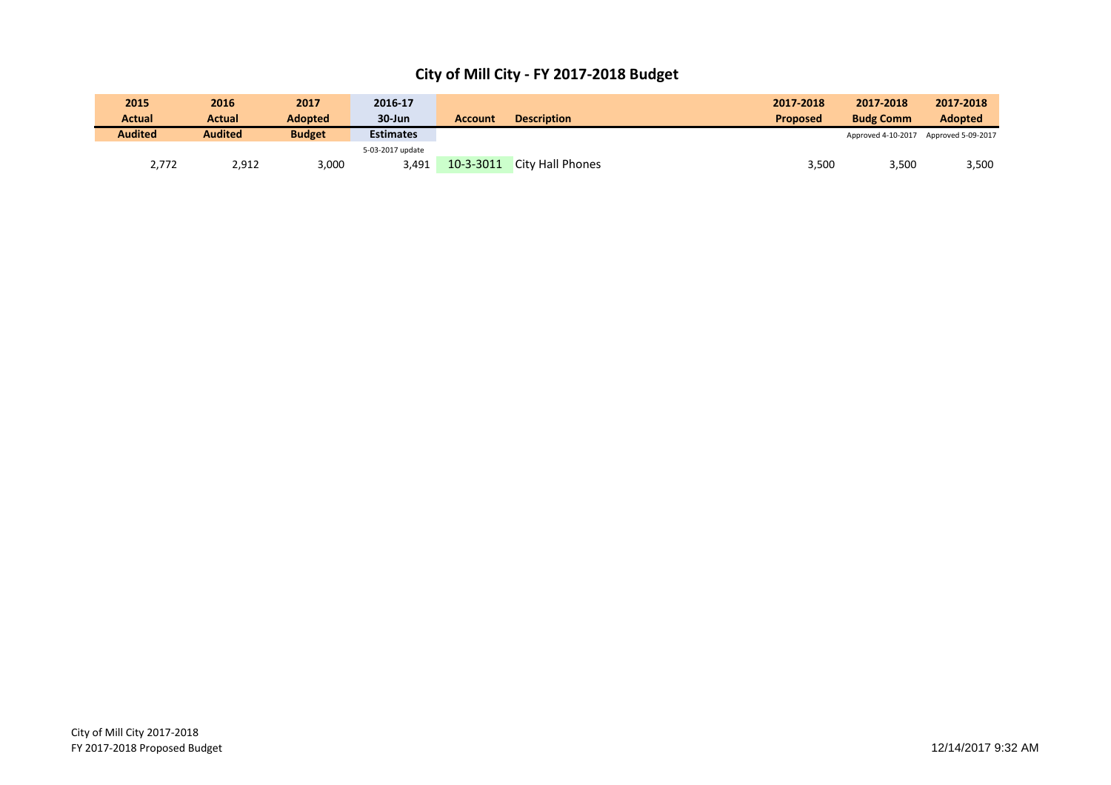| 2015           | 2016           | 2017           | 2016-17          |                |                         | 2017-2018       | 2017-2018          | 2017-2018          |
|----------------|----------------|----------------|------------------|----------------|-------------------------|-----------------|--------------------|--------------------|
| Actual         | Actual         | <b>Adopted</b> | $30 - Jun$       | <b>Account</b> | <b>Description</b>      | <b>Proposed</b> | <b>Budg Comm</b>   | <b>Adopted</b>     |
| <b>Audited</b> | <b>Audited</b> | <b>Budget</b>  | <b>Estimates</b> |                |                         |                 | Approved 4-10-2017 | Approved 5-09-2017 |
|                |                |                | 5-03-2017 update |                |                         |                 |                    |                    |
| 2,772          | 2,912          | 3,000          | 3.491            | 10-3-3011      | <b>City Hall Phones</b> | 3,500           | 3,500              | 3,500              |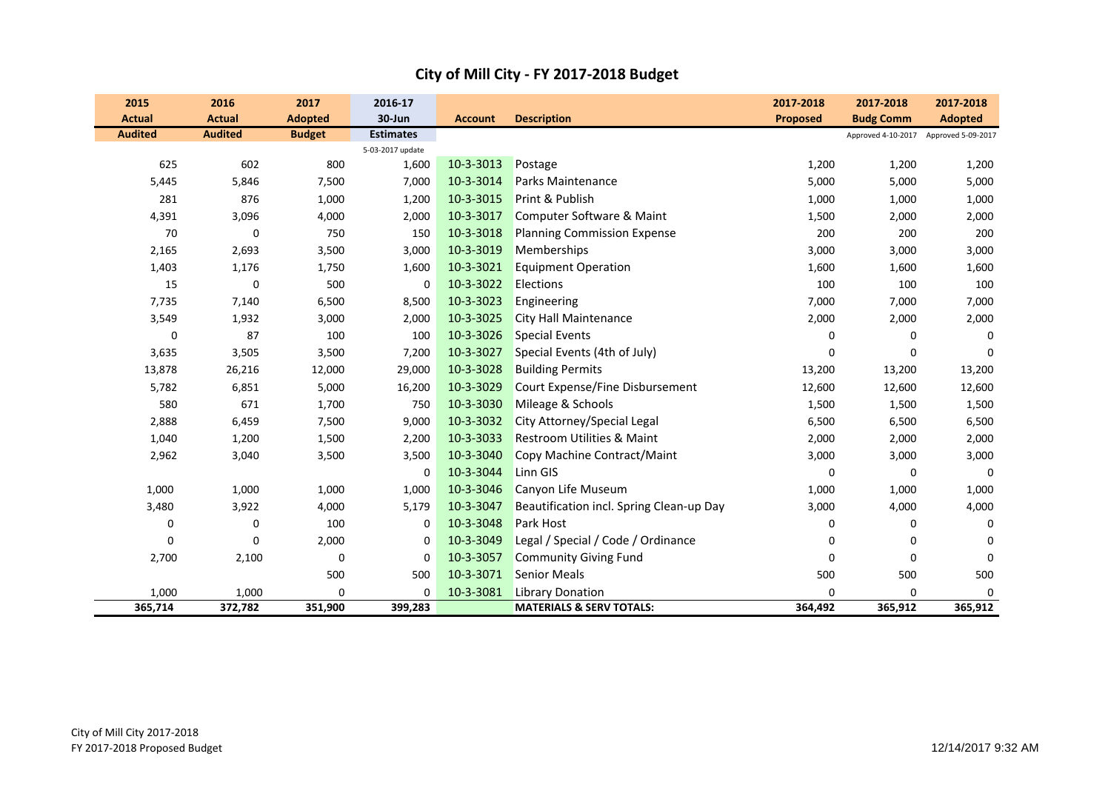| 2015             | 2016           | 2017           | 2016-17          |                |                                          | 2017-2018       | 2017-2018                             | 2017-2018      |
|------------------|----------------|----------------|------------------|----------------|------------------------------------------|-----------------|---------------------------------------|----------------|
| <b>Actual</b>    | <b>Actual</b>  | <b>Adopted</b> | 30-Jun           | <b>Account</b> | <b>Description</b>                       | <b>Proposed</b> | <b>Budg Comm</b>                      | <b>Adopted</b> |
| <b>Audited</b>   | <b>Audited</b> | <b>Budget</b>  | <b>Estimates</b> |                |                                          |                 | Approved 4-10-2017 Approved 5-09-2017 |                |
|                  |                |                | 5-03-2017 update |                |                                          |                 |                                       |                |
| 625              | 602            | 800            | 1,600            | 10-3-3013      | Postage                                  | 1,200           | 1,200                                 | 1,200          |
| 5,445            | 5,846          | 7,500          | 7,000            | 10-3-3014      | Parks Maintenance                        | 5,000           | 5,000                                 | 5,000          |
| 281              | 876            | 1,000          | 1,200            | 10-3-3015      | Print & Publish                          | 1,000           | 1,000                                 | 1,000          |
| 4,391            | 3,096          | 4,000          | 2,000            | 10-3-3017      | Computer Software & Maint                | 1,500           | 2,000                                 | 2,000          |
| 70               | $\mathbf 0$    | 750            | 150              | 10-3-3018      | <b>Planning Commission Expense</b>       | 200             | 200                                   | 200            |
| 2,165            | 2,693          | 3,500          | 3,000            | 10-3-3019      | Memberships                              | 3,000           | 3,000                                 | 3,000          |
| 1,403            | 1,176          | 1,750          | 1,600            | 10-3-3021      | <b>Equipment Operation</b>               | 1,600           | 1,600                                 | 1,600          |
| 15               | $\mathbf 0$    | 500            | 0                | 10-3-3022      | Elections                                | 100             | 100                                   | 100            |
| 7,735            | 7,140          | 6,500          | 8,500            | 10-3-3023      | Engineering                              | 7,000           | 7,000                                 | 7,000          |
| 3,549            | 1,932          | 3,000          | 2,000            | 10-3-3025      | City Hall Maintenance                    | 2,000           | 2,000                                 | 2,000          |
| $\boldsymbol{0}$ | 87             | 100            | 100              | 10-3-3026      | <b>Special Events</b>                    | 0               | 0                                     | 0              |
| 3,635            | 3,505          | 3,500          | 7,200            | 10-3-3027      | Special Events (4th of July)             | $\Omega$        | $\mathbf 0$                           | $\Omega$       |
| 13,878           | 26,216         | 12,000         | 29,000           | 10-3-3028      | <b>Building Permits</b>                  | 13,200          | 13,200                                | 13,200         |
| 5,782            | 6,851          | 5,000          | 16,200           | 10-3-3029      | Court Expense/Fine Disbursement          | 12,600          | 12,600                                | 12,600         |
| 580              | 671            | 1,700          | 750              | 10-3-3030      | Mileage & Schools                        | 1,500           | 1,500                                 | 1,500          |
| 2,888            | 6,459          | 7,500          | 9,000            | 10-3-3032      | City Attorney/Special Legal              | 6,500           | 6,500                                 | 6,500          |
| 1,040            | 1,200          | 1,500          | 2,200            | 10-3-3033      | Restroom Utilities & Maint               | 2,000           | 2,000                                 | 2,000          |
| 2,962            | 3,040          | 3,500          | 3,500            | 10-3-3040      | Copy Machine Contract/Maint              | 3,000           | 3,000                                 | 3,000          |
|                  |                |                | 0                | 10-3-3044      | Linn GIS                                 | 0               | 0                                     | 0              |
| 1,000            | 1,000          | 1,000          | 1,000            | 10-3-3046      | Canyon Life Museum                       | 1,000           | 1,000                                 | 1,000          |
| 3,480            | 3,922          | 4,000          | 5,179            | 10-3-3047      | Beautification incl. Spring Clean-up Day | 3,000           | 4,000                                 | 4,000          |
| 0                | $\mathbf 0$    | 100            | 0                | 10-3-3048      | Park Host                                | 0               | 0                                     | 0              |
| 0                | $\mathbf 0$    | 2,000          | 0                | 10-3-3049      | Legal / Special / Code / Ordinance       | 0               | 0                                     | $\Omega$       |
| 2,700            | 2,100          | $\mathbf 0$    | 0                | 10-3-3057      | <b>Community Giving Fund</b>             | $\Omega$        | $\mathbf 0$                           | $\Omega$       |
|                  |                | 500            | 500              | 10-3-3071      | <b>Senior Meals</b>                      | 500             | 500                                   | 500            |
| 1,000            | 1,000          | $\mathbf 0$    | 0                | 10-3-3081      | <b>Library Donation</b>                  | $\Omega$        | 0                                     | $\Omega$       |
| 365,714          | 372,782        | 351,900        | 399,283          |                | <b>MATERIALS &amp; SERV TOTALS:</b>      | 364,492         | 365,912                               | 365,912        |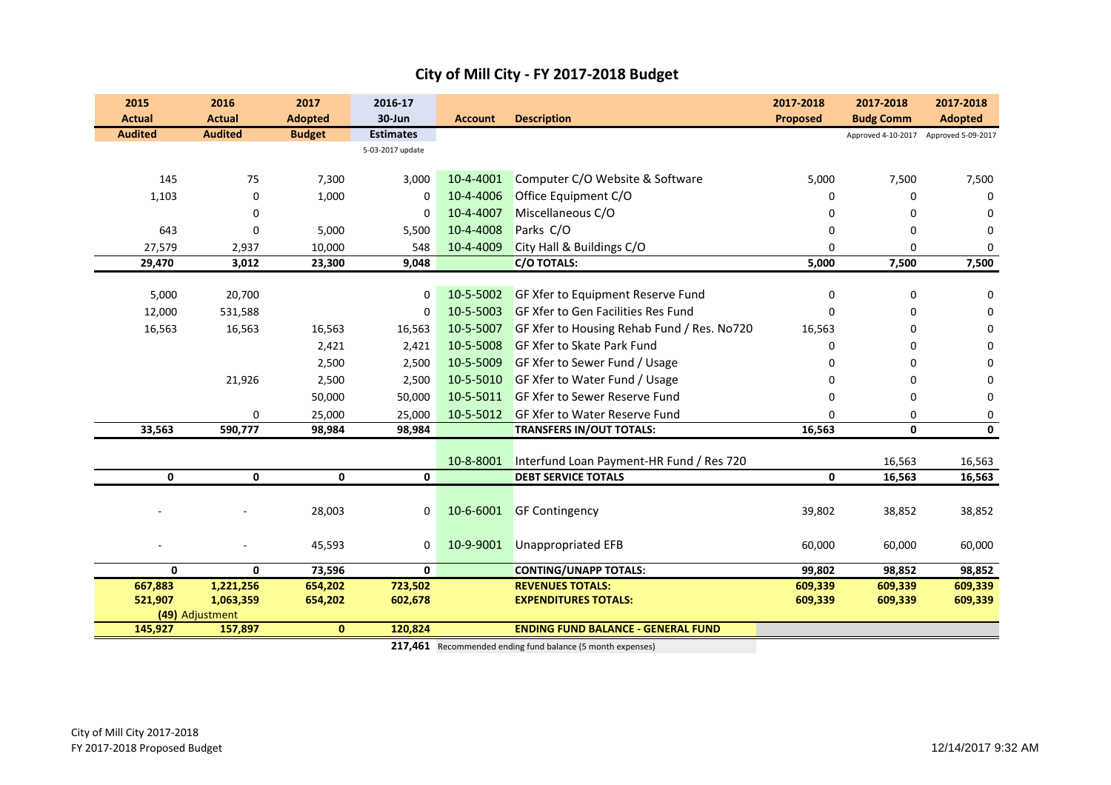| 2015           | 2016            | 2017           | 2016-17          |                |                                            | 2017-2018       | 2017-2018        | 2017-2018                             |
|----------------|-----------------|----------------|------------------|----------------|--------------------------------------------|-----------------|------------------|---------------------------------------|
| <b>Actual</b>  | <b>Actual</b>   | <b>Adopted</b> | 30-Jun           | <b>Account</b> | <b>Description</b>                         | <b>Proposed</b> | <b>Budg Comm</b> | <b>Adopted</b>                        |
| <b>Audited</b> | <b>Audited</b>  | <b>Budget</b>  | <b>Estimates</b> |                |                                            |                 |                  | Approved 4-10-2017 Approved 5-09-2017 |
|                |                 |                | 5-03-2017 update |                |                                            |                 |                  |                                       |
| 145            | 75              | 7,300          | 3,000            | 10-4-4001      | Computer C/O Website & Software            | 5,000           | 7,500            | 7,500                                 |
| 1,103          | $\mathbf 0$     | 1,000          | 0                | 10-4-4006      | Office Equipment C/O                       | $\Omega$        | 0                | 0                                     |
|                | 0               |                | 0                | 10-4-4007      | Miscellaneous C/O                          | n               | 0                | $\Omega$                              |
| 643            | 0               | 5,000          | 5,500            | 10-4-4008      | Parks C/O                                  | $\Omega$        | 0                | $\Omega$                              |
| 27,579         | 2,937           | 10,000         | 548              | 10-4-4009      | City Hall & Buildings C/O                  | $\Omega$        | $\mathbf{0}$     | $\Omega$                              |
| 29,470         | 3,012           | 23,300         | 9,048            |                | C/O TOTALS:                                | 5,000           | 7,500            | 7,500                                 |
|                |                 |                |                  |                |                                            |                 |                  |                                       |
| 5,000          | 20,700          |                | 0                | 10-5-5002      | GF Xfer to Equipment Reserve Fund          | $\Omega$        | $\mathbf 0$      | $\Omega$                              |
| 12,000         | 531,588         |                | 0                | 10-5-5003      | GF Xfer to Gen Facilities Res Fund         | $\Omega$        | $\mathbf 0$      | 0                                     |
| 16,563         | 16,563          | 16,563         | 16,563           | 10-5-5007      | GF Xfer to Housing Rehab Fund / Res. No720 | 16,563          | 0                | 0                                     |
|                |                 | 2,421          | 2,421            | 10-5-5008      | <b>GF Xfer to Skate Park Fund</b>          | <sup>0</sup>    | 0                | 0                                     |
|                |                 | 2,500          | 2,500            | 10-5-5009      | GF Xfer to Sewer Fund / Usage              |                 | 0                | 0                                     |
|                | 21,926          | 2,500          | 2,500            | 10-5-5010      | GF Xfer to Water Fund / Usage              |                 | 0                | 0                                     |
|                |                 | 50,000         | 50,000           | 10-5-5011      | <b>GF Xfer to Sewer Reserve Fund</b>       | $\Omega$        | 0                | 0                                     |
|                | 0               | 25,000         | 25,000           | 10-5-5012      | <b>GF Xfer to Water Reserve Fund</b>       | $\Omega$        | 0                | 0                                     |
| 33,563         | 590,777         | 98,984         | 98,984           |                | <b>TRANSFERS IN/OUT TOTALS:</b>            | 16,563          | 0                | $\mathbf 0$                           |
|                |                 |                |                  |                |                                            |                 |                  |                                       |
|                |                 |                |                  | 10-8-8001      | Interfund Loan Payment-HR Fund / Res 720   |                 | 16,563           | 16,563                                |
| 0              | 0               | 0              | 0                |                | <b>DEBT SERVICE TOTALS</b>                 | 0               | 16,563           | 16,563                                |
|                |                 |                |                  |                |                                            |                 |                  |                                       |
|                |                 | 28,003         | 0                | 10-6-6001      | <b>GF Contingency</b>                      | 39,802          | 38,852           | 38,852                                |
|                |                 |                |                  |                |                                            |                 |                  |                                       |
|                |                 | 45,593         | 0                | 10-9-9001      | <b>Unappropriated EFB</b>                  | 60,000          | 60,000           | 60,000                                |
| $\mathbf 0$    | 0               | 73,596         | 0                |                | <b>CONTING/UNAPP TOTALS:</b>               | 99,802          | 98,852           | 98,852                                |
| 667,883        | 1,221,256       | 654,202        | 723,502          |                | <b>REVENUES TOTALS:</b>                    | 609,339         | 609,339          | 609,339                               |
| 521,907        | 1,063,359       | 654,202        | 602,678          |                | <b>EXPENDITURES TOTALS:</b>                | 609,339         | 609,339          | 609,339                               |
|                | (49) Adjustment |                |                  |                |                                            |                 |                  |                                       |
| 145,927        | 157,897         | $\mathbf{0}$   | 120,824          |                | <b>ENDING FUND BALANCE - GENERAL FUND</b>  |                 |                  |                                       |

**217,461** Recommended ending fund balance (5 month expenses)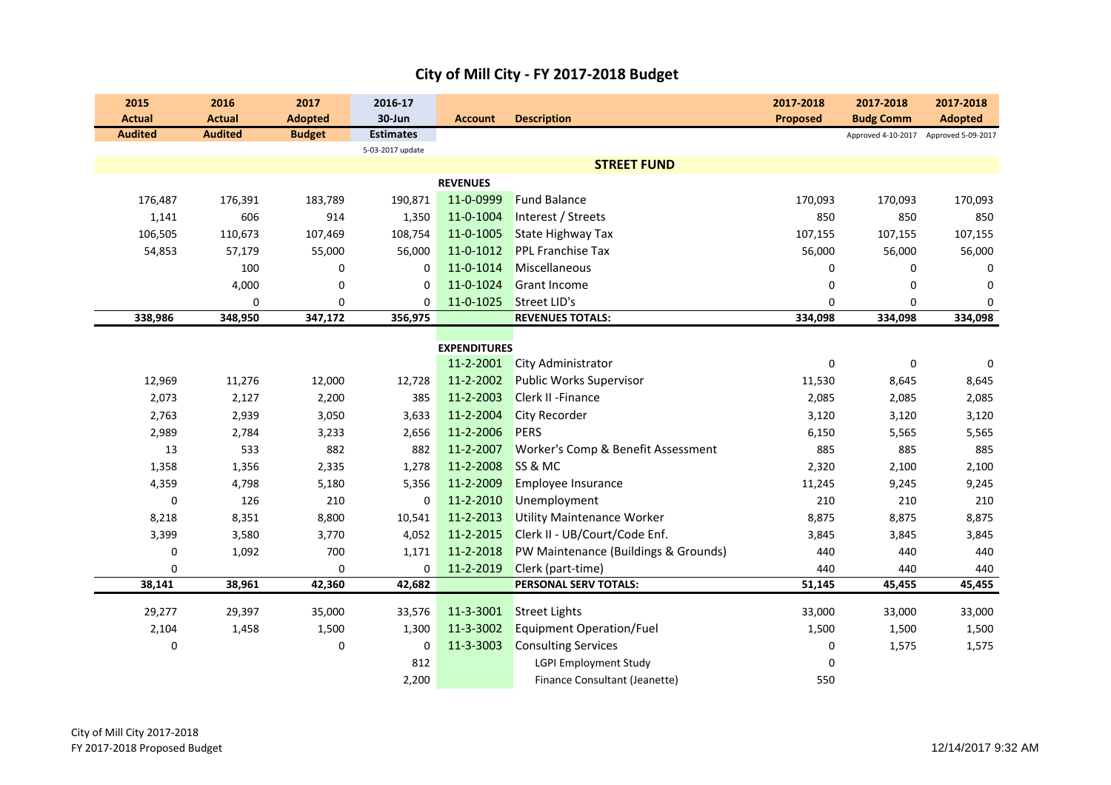| 2015           | 2016           | 2017           | 2016-17          |                        |                                      | 2017-2018       | 2017-2018          | 2017-2018          |
|----------------|----------------|----------------|------------------|------------------------|--------------------------------------|-----------------|--------------------|--------------------|
| <b>Actual</b>  | <b>Actual</b>  | <b>Adopted</b> | 30-Jun           | <b>Account</b>         | <b>Description</b>                   | <b>Proposed</b> | <b>Budg Comm</b>   | <b>Adopted</b>     |
| <b>Audited</b> | <b>Audited</b> | <b>Budget</b>  | <b>Estimates</b> |                        |                                      |                 | Approved 4-10-2017 | Approved 5-09-2017 |
|                |                |                | 5-03-2017 update |                        |                                      |                 |                    |                    |
|                |                |                |                  |                        | <b>STREET FUND</b>                   |                 |                    |                    |
|                |                |                |                  | <b>REVENUES</b>        |                                      |                 |                    |                    |
| 176,487        | 176,391        | 183,789        | 190,871          | 11-0-0999              | <b>Fund Balance</b>                  | 170,093         | 170,093            | 170,093            |
| 1,141          | 606            | 914            | 1,350            | 11-0-1004              | Interest / Streets                   | 850             | 850                | 850                |
| 106,505        | 110,673        | 107,469        | 108,754          | 11-0-1005              | <b>State Highway Tax</b>             | 107,155         | 107,155            | 107,155            |
| 54,853         | 57,179         | 55,000         | 56,000           | 11-0-1012              | <b>PPL Franchise Tax</b>             | 56,000          | 56,000             | 56,000             |
|                | 100            | 0              | 0                | 11-0-1014              | Miscellaneous                        | 0               | 0                  | 0                  |
|                | 4,000          | 0              | 0                | 11-0-1024              | <b>Grant Income</b>                  | 0               | 0                  | $\Omega$           |
|                | 0              | $\mathbf 0$    | $\mathbf 0$      | 11-0-1025              | <b>Street LID's</b>                  | $\Omega$        | 0                  | $\mathbf 0$        |
| 338,986        | 348,950        | 347,172        | 356,975          |                        | <b>REVENUES TOTALS:</b>              | 334,098         | 334,098            | 334,098            |
|                |                |                |                  | <b>EXPENDITURES</b>    |                                      |                 |                    |                    |
|                |                |                |                  | 11-2-2001              | <b>City Administrator</b>            | 0               | $\boldsymbol{0}$   | 0                  |
| 12,969         | 11,276         | 12,000         | 12,728           | 11-2-2002              | <b>Public Works Supervisor</b>       | 11,530          | 8,645              | 8,645              |
|                |                |                |                  | 11-2-2003              | Clerk II - Finance                   |                 |                    |                    |
| 2,073          | 2,127          | 2,200          | 385              |                        |                                      | 2,085           | 2,085              | 2,085              |
| 2,763          | 2,939          | 3,050          | 3,633            | 11-2-2004<br>11-2-2006 | City Recorder<br><b>PERS</b>         | 3,120           | 3,120              | 3,120              |
| 2,989          | 2,784          | 3,233          | 2,656            |                        |                                      | 6,150           | 5,565              | 5,565              |
| 13             | 533            | 882            | 882              | 11-2-2007              | Worker's Comp & Benefit Assessment   | 885             | 885                | 885                |
| 1,358          | 1,356          | 2,335          | 1,278            | 11-2-2008              | SS & MC                              | 2,320           | 2,100              | 2,100              |
| 4,359          | 4,798          | 5,180          | 5,356            | 11-2-2009              | Employee Insurance                   | 11,245          | 9,245              | 9,245              |
| $\pmb{0}$      | 126            | 210            | 0                | 11-2-2010              | Unemployment                         | 210             | 210                | 210                |
| 8,218          | 8,351          | 8,800          | 10,541           | 11-2-2013              | <b>Utility Maintenance Worker</b>    | 8,875           | 8,875              | 8,875              |
| 3,399          | 3,580          | 3,770          | 4,052            | 11-2-2015              | Clerk II - UB/Court/Code Enf.        | 3,845           | 3,845              | 3,845              |
| 0              | 1,092          | 700            | 1,171            | 11-2-2018              | PW Maintenance (Buildings & Grounds) | 440             | 440                | 440                |
| 0              |                | $\mathbf 0$    | $\mathbf 0$      | 11-2-2019              | Clerk (part-time)                    | 440             | 440                | 440                |
| 38,141         | 38,961         | 42,360         | 42,682           |                        | PERSONAL SERV TOTALS:                | 51,145          | 45,455             | 45,455             |
| 29,277         | 29,397         | 35,000         | 33,576           | 11-3-3001              | <b>Street Lights</b>                 | 33,000          | 33,000             | 33,000             |
| 2,104          | 1,458          | 1,500          | 1,300            | 11-3-3002              | <b>Equipment Operation/Fuel</b>      | 1,500           | 1,500              | 1,500              |
| 0              |                | 0              | 0                | 11-3-3003              | <b>Consulting Services</b>           | 0               | 1,575              | 1,575              |
|                |                |                | 812              |                        | <b>LGPI Employment Study</b>         | 0               |                    |                    |
|                |                |                | 2,200            |                        | Finance Consultant (Jeanette)        | 550             |                    |                    |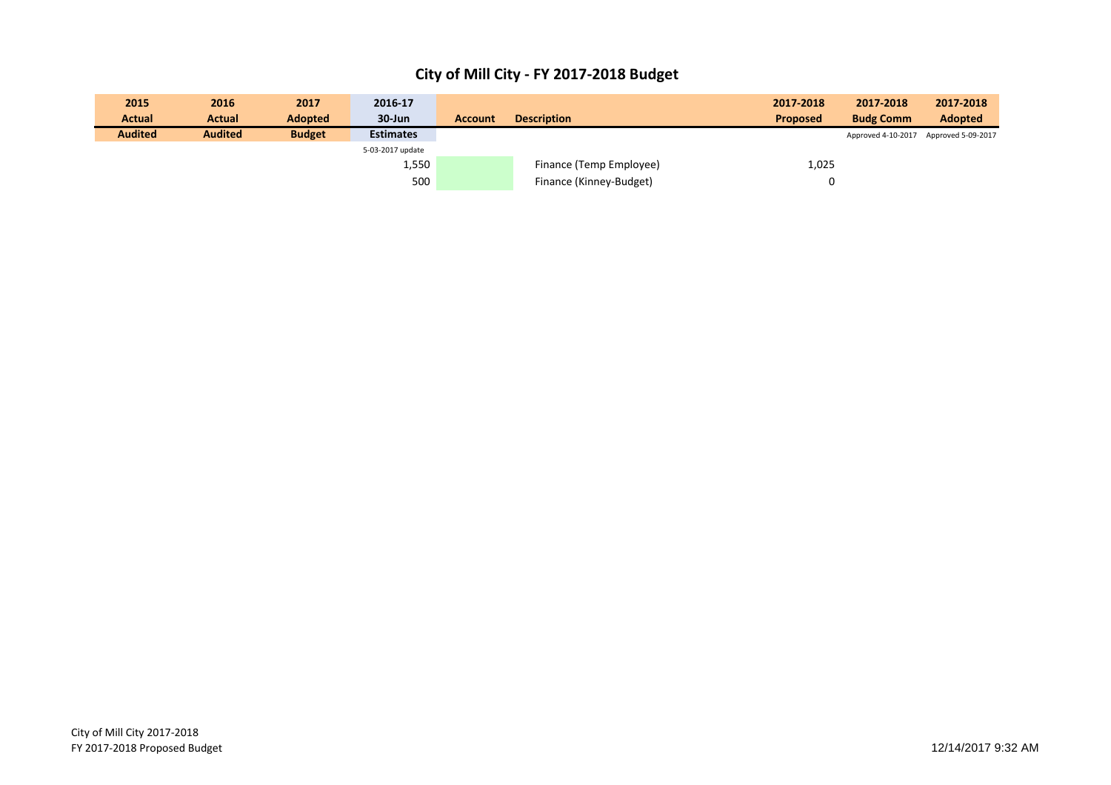| 2015           | 2016           | 2017          | 2016-17          |                |                         | 2017-2018       | 2017-2018                             | 2017-2018      |
|----------------|----------------|---------------|------------------|----------------|-------------------------|-----------------|---------------------------------------|----------------|
| <b>Actual</b>  | <b>Actual</b>  | Adopted       | $30 - Jun$       | <b>Account</b> | <b>Description</b>      | <b>Proposed</b> | <b>Budg Comm</b>                      | <b>Adopted</b> |
| <b>Audited</b> | <b>Audited</b> | <b>Budget</b> | <b>Estimates</b> |                |                         |                 | Approved 4-10-2017 Approved 5-09-2017 |                |
|                |                |               | 5-03-2017 update |                |                         |                 |                                       |                |
|                |                |               | 1,550            |                | Finance (Temp Employee) | 1,025           |                                       |                |
|                |                |               | 500              |                | Finance (Kinney-Budget) |                 |                                       |                |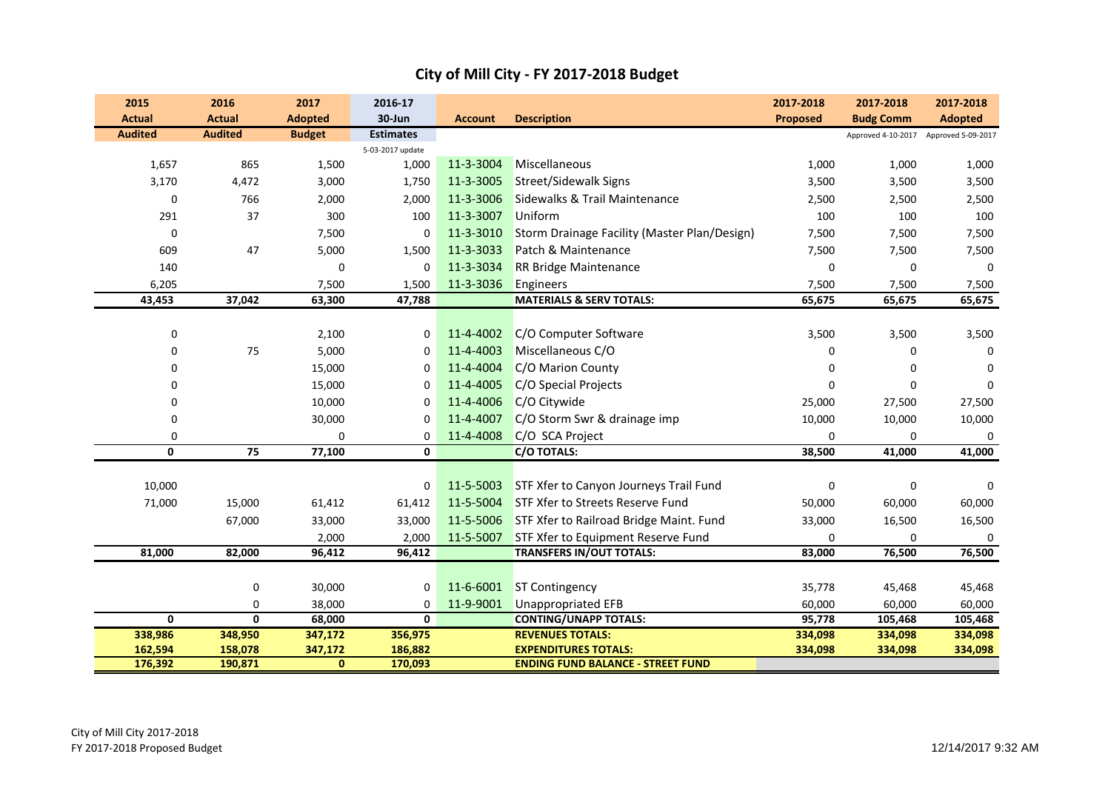| 2015           | 2016           | 2017           | 2016-17          |                |                                                   | 2017-2018       | 2017-2018        | 2017-2018                             |
|----------------|----------------|----------------|------------------|----------------|---------------------------------------------------|-----------------|------------------|---------------------------------------|
| <b>Actual</b>  | <b>Actual</b>  | <b>Adopted</b> | 30-Jun           | <b>Account</b> | <b>Description</b>                                | <b>Proposed</b> | <b>Budg Comm</b> | <b>Adopted</b>                        |
| <b>Audited</b> | <b>Audited</b> | <b>Budget</b>  | <b>Estimates</b> |                |                                                   |                 |                  | Approved 4-10-2017 Approved 5-09-2017 |
|                |                |                | 5-03-2017 update |                |                                                   |                 |                  |                                       |
| 1,657          | 865            | 1,500          | 1,000            | 11-3-3004      | Miscellaneous                                     | 1,000           | 1,000            | 1,000                                 |
| 3,170          | 4,472          | 3,000          | 1,750            | 11-3-3005      | <b>Street/Sidewalk Signs</b>                      | 3,500           | 3,500            | 3,500                                 |
| $\mathbf 0$    | 766            | 2,000          | 2,000            | 11-3-3006      | Sidewalks & Trail Maintenance                     | 2,500           | 2,500            | 2,500                                 |
| 291            | 37             | 300            | 100              | 11-3-3007      | Uniform                                           | 100             | 100              | 100                                   |
| 0              |                | 7,500          | $\mathbf{0}$     | 11-3-3010      | Storm Drainage Facility (Master Plan/Design)      | 7,500           | 7,500            | 7,500                                 |
| 609            | 47             | 5,000          | 1,500            | 11-3-3033      | Patch & Maintenance                               | 7,500           | 7,500            | 7,500                                 |
| 140            |                | 0              | 0                | 11-3-3034      | RR Bridge Maintenance                             | $\mathbf 0$     | 0                | $\mathbf 0$                           |
| 6,205          |                | 7,500          | 1,500            | 11-3-3036      | Engineers                                         | 7,500           | 7,500            | 7,500                                 |
| 43,453         | 37,042         | 63,300         | 47,788           |                | <b>MATERIALS &amp; SERV TOTALS:</b>               | 65,675          | 65,675           | 65,675                                |
|                |                |                |                  |                |                                                   |                 |                  |                                       |
| 0              |                | 2,100          | 0                | 11-4-4002      | C/O Computer Software                             | 3,500           | 3,500            | 3,500                                 |
| 0              | 75             | 5,000          | $\Omega$         | 11-4-4003      | Miscellaneous C/O                                 | 0               | 0                | $\Omega$                              |
| 0              |                | 15,000         | 0                | 11-4-4004      | C/O Marion County                                 | $\Omega$        | $\Omega$         | $\Omega$                              |
| 0              |                | 15,000         | 0                | 11-4-4005      | C/O Special Projects                              | $\Omega$        | $\mathbf 0$      | $\Omega$                              |
| 0              |                | 10,000         | 0                | 11-4-4006      | C/O Citywide                                      | 25,000          | 27,500           | 27,500                                |
| 0              |                | 30,000         | $\mathbf 0$      | 11-4-4007      | C/O Storm Swr & drainage imp                      | 10,000          | 10,000           | 10,000                                |
| 0              |                | 0              | 0                | 11-4-4008      | C/O SCA Project                                   | 0               | 0                | 0                                     |
| $\mathbf{0}$   | 75             | 77,100         | 0                |                | <b>C/O TOTALS:</b>                                | 38,500          | 41,000           | 41,000                                |
|                |                |                |                  |                |                                                   |                 |                  |                                       |
| 10,000         |                |                | 0                | 11-5-5003      | STF Xfer to Canyon Journeys Trail Fund            | $\mathbf 0$     | 0                | $\Omega$                              |
| 71,000         | 15,000         | 61,412         | 61,412           | 11-5-5004      | STF Xfer to Streets Reserve Fund                  | 50,000          | 60,000           | 60,000                                |
|                | 67,000         | 33,000         | 33,000           |                | 11-5-5006 STF Xfer to Railroad Bridge Maint. Fund | 33,000          | 16,500           | 16,500                                |
|                |                | 2,000          | 2,000            | 11-5-5007      | STF Xfer to Equipment Reserve Fund                | 0               | 0                |                                       |
| 81,000         | 82,000         | 96,412         | 96,412           |                | <b>TRANSFERS IN/OUT TOTALS:</b>                   | 83,000          | 76,500           | 76,500                                |
|                |                |                |                  |                |                                                   |                 |                  |                                       |
|                | 0              | 30,000         | 0                | 11-6-6001      | <b>ST Contingency</b>                             | 35,778          | 45,468           | 45,468                                |
|                | $\mathbf 0$    | 38,000         | 0                | 11-9-9001      | <b>Unappropriated EFB</b>                         | 60,000          | 60,000           | 60,000                                |
| 0              | 0              | 68,000         | 0                |                | <b>CONTING/UNAPP TOTALS:</b>                      | 95,778          | 105,468          | 105,468                               |
| 338,986        | 348,950        | 347,172        | 356,975          |                | <b>REVENUES TOTALS:</b>                           | 334,098         | 334,098          | 334,098                               |
| 162,594        | 158,078        | 347,172        | 186,882          |                | <b>EXPENDITURES TOTALS:</b>                       | 334,098         | 334,098          | 334,098                               |
| 176,392        | 190,871        | $\mathbf{0}$   | 170,093          |                | <b>ENDING FUND BALANCE - STREET FUND</b>          |                 |                  |                                       |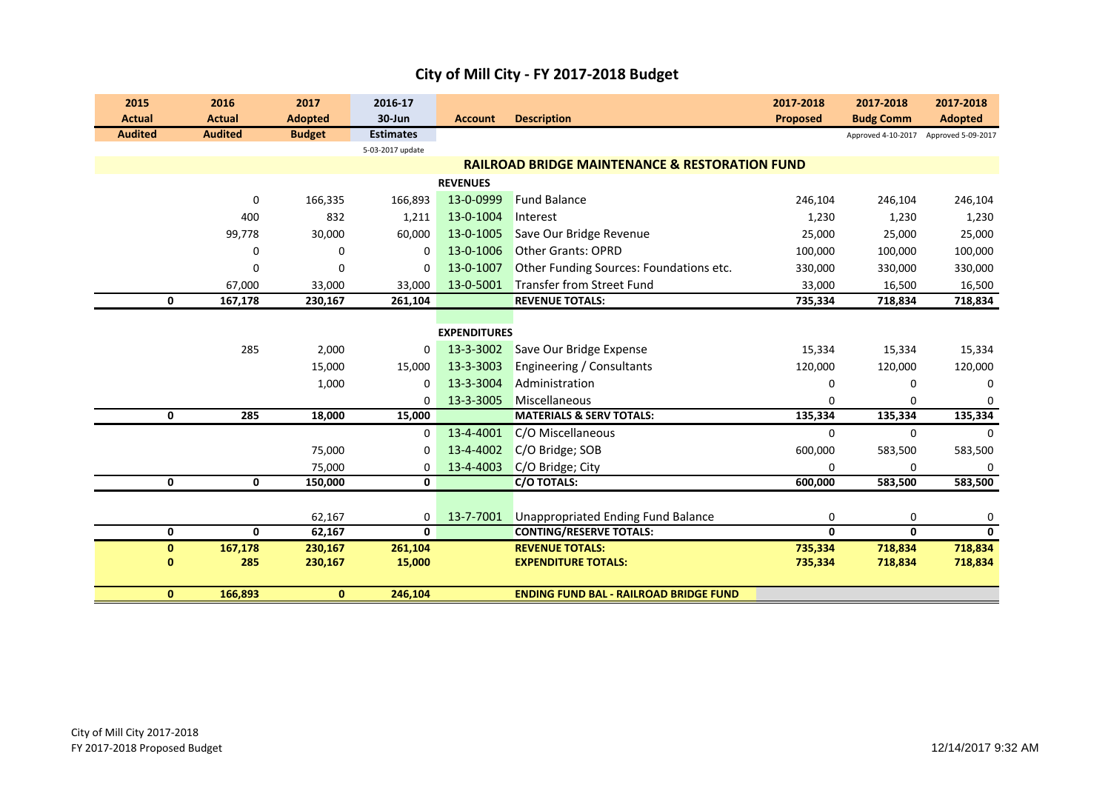| 2015           | 2016           | 2017           | 2016-17          |                     |                                                           | 2017-2018   | 2017-2018          | 2017-2018          |
|----------------|----------------|----------------|------------------|---------------------|-----------------------------------------------------------|-------------|--------------------|--------------------|
| <b>Actual</b>  | <b>Actual</b>  | <b>Adopted</b> | 30-Jun           | <b>Account</b>      | <b>Description</b>                                        | Proposed    | <b>Budg Comm</b>   | <b>Adopted</b>     |
| <b>Audited</b> | <b>Audited</b> | <b>Budget</b>  | <b>Estimates</b> |                     |                                                           |             | Approved 4-10-2017 | Approved 5-09-2017 |
|                |                |                | 5-03-2017 update |                     | <b>RAILROAD BRIDGE MAINTENANCE &amp; RESTORATION FUND</b> |             |                    |                    |
|                |                |                |                  | <b>REVENUES</b>     |                                                           |             |                    |                    |
|                |                |                |                  | 13-0-0999           | <b>Fund Balance</b>                                       |             |                    |                    |
|                | 0              | 166,335        | 166,893          |                     |                                                           | 246,104     | 246,104            | 246,104            |
|                | 400            | 832            | 1,211            | 13-0-1004           | Interest                                                  | 1,230       | 1,230              | 1,230              |
|                | 99,778         | 30,000         | 60,000           | 13-0-1005           | Save Our Bridge Revenue                                   | 25,000      | 25,000             | 25,000             |
|                | 0              | 0              | 0                | 13-0-1006           | <b>Other Grants: OPRD</b>                                 | 100,000     | 100,000            | 100,000            |
|                | $\mathbf 0$    | 0              | 0                | 13-0-1007           | Other Funding Sources: Foundations etc.                   | 330,000     | 330,000            | 330,000            |
|                | 67,000         | 33,000         | 33,000           | 13-0-5001           | <b>Transfer from Street Fund</b>                          | 33,000      | 16,500             | 16,500             |
| $\mathbf 0$    | 167,178        | 230,167        | 261,104          |                     | <b>REVENUE TOTALS:</b>                                    | 735,334     | 718,834            | 718,834            |
|                |                |                |                  |                     |                                                           |             |                    |                    |
|                |                |                |                  | <b>EXPENDITURES</b> |                                                           |             |                    |                    |
|                | 285            | 2,000          | 0                | 13-3-3002           | Save Our Bridge Expense                                   | 15,334      | 15,334             | 15,334             |
|                |                | 15,000         | 15,000           | 13-3-3003           | Engineering / Consultants                                 | 120,000     | 120,000            | 120,000            |
|                |                | 1,000          | 0                | 13-3-3004           | Administration                                            | $\Omega$    | $\Omega$           | $\Omega$           |
|                |                |                | $\Omega$         | 13-3-3005           | Miscellaneous                                             | $\Omega$    | $\Omega$           | $\Omega$           |
| 0              | 285            | 18,000         | 15,000           |                     | <b>MATERIALS &amp; SERV TOTALS:</b>                       | 135,334     | 135,334            | 135,334            |
|                |                |                | 0                | 13-4-4001           | C/O Miscellaneous                                         | $\mathbf 0$ | $\mathbf 0$        | $\mathbf 0$        |
|                |                | 75,000         | 0                | 13-4-4002           | C/O Bridge; SOB                                           | 600,000     | 583,500            | 583,500            |
|                |                | 75,000         | 0                | 13-4-4003           | C/O Bridge; City                                          | $\Omega$    | 0                  | $\Omega$           |
| 0              | 0              | 150,000        | 0                |                     | <b>C/O TOTALS:</b>                                        | 600,000     | 583,500            | 583,500            |
|                |                |                |                  |                     |                                                           |             |                    |                    |
|                |                | 62,167         | 0                | 13-7-7001           | <b>Unappropriated Ending Fund Balance</b>                 | $\mathbf 0$ | 0                  | 0                  |
| 0              | $\mathbf{0}$   | 62,167         | 0                |                     | <b>CONTING/RESERVE TOTALS:</b>                            | 0           | 0                  | $\mathbf{0}$       |
| $\pmb{0}$      | 167,178        | 230,167        | 261,104          |                     | <b>REVENUE TOTALS:</b>                                    | 735,334     | 718,834            | 718,834            |
| $\bf{0}$       | 285            | 230,167        | 15,000           |                     | <b>EXPENDITURE TOTALS:</b>                                | 735,334     | 718,834            | 718,834            |
| $\mathbf{0}$   | 166,893        | $\mathbf{0}$   | 246,104          |                     | <b>ENDING FUND BAL - RAILROAD BRIDGE FUND</b>             |             |                    |                    |
|                |                |                |                  |                     |                                                           |             |                    |                    |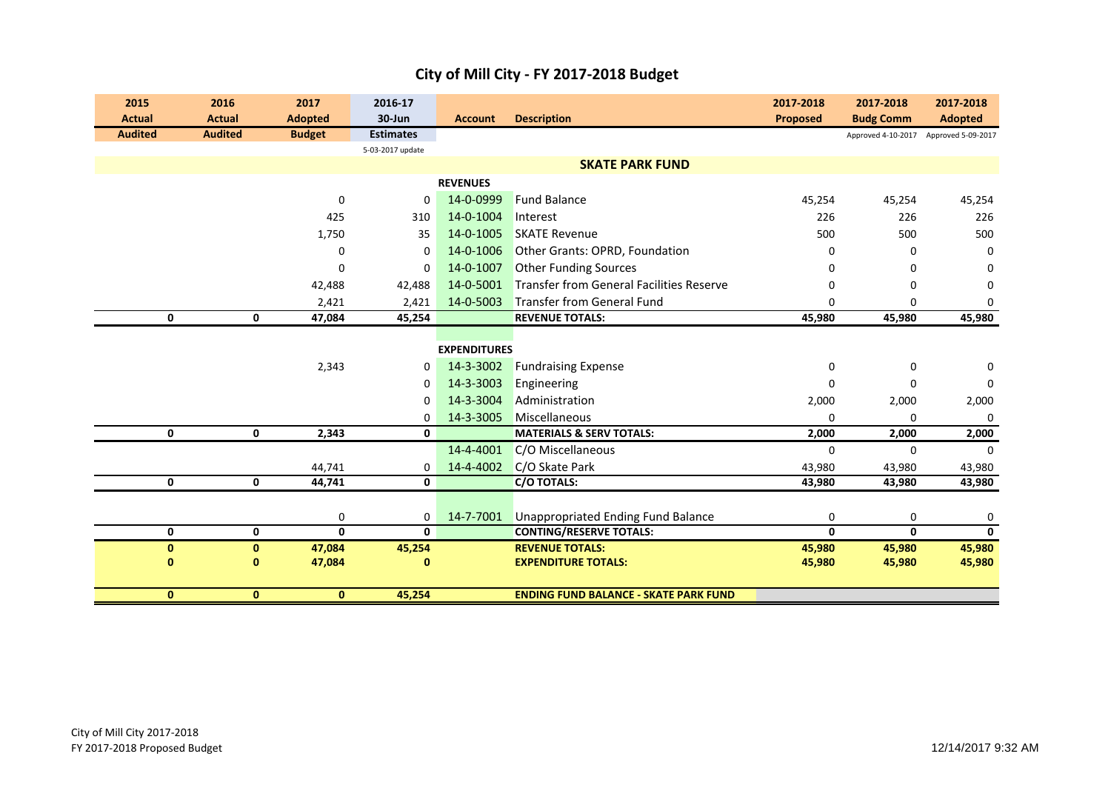| 2015<br><b>Actual</b> | 2016<br><b>Actual</b> | 2017<br><b>Adopted</b> | 2016-17<br>30-Jun | <b>Account</b>      | <b>Description</b>                           | 2017-2018<br><b>Proposed</b> | 2017-2018<br><b>Budg Comm</b> | 2017-2018<br><b>Adopted</b> |
|-----------------------|-----------------------|------------------------|-------------------|---------------------|----------------------------------------------|------------------------------|-------------------------------|-----------------------------|
| <b>Audited</b>        | <b>Audited</b>        | <b>Budget</b>          | <b>Estimates</b>  |                     |                                              |                              |                               |                             |
|                       |                       |                        | 5-03-2017 update  |                     |                                              |                              | Approved 4-10-2017            | Approved 5-09-2017          |
|                       |                       |                        |                   |                     | <b>SKATE PARK FUND</b>                       |                              |                               |                             |
|                       |                       |                        |                   | <b>REVENUES</b>     |                                              |                              |                               |                             |
|                       |                       | $\mathbf 0$            | $\mathbf 0$       | 14-0-0999           | <b>Fund Balance</b>                          | 45,254                       | 45,254                        | 45,254                      |
|                       |                       | 425                    | 310               | 14-0-1004           | Interest                                     | 226                          | 226                           | 226                         |
|                       |                       | 1,750                  | 35                | 14-0-1005           | <b>SKATE Revenue</b>                         | 500                          | 500                           | 500                         |
|                       |                       | $\mathbf 0$            | $\mathbf 0$       | 14-0-1006           | Other Grants: OPRD, Foundation               | $\Omega$                     | 0                             | $\mathbf{0}$                |
|                       |                       | 0                      | 0                 | 14-0-1007           | <b>Other Funding Sources</b>                 | $\Omega$                     | 0                             | 0                           |
|                       |                       | 42,488                 | 42,488            | 14-0-5001           | Transfer from General Facilities Reserve     | $\Omega$                     | 0                             | 0                           |
|                       |                       | 2,421                  | 2,421             | 14-0-5003           | Transfer from General Fund                   | $\Omega$                     | $\mathbf 0$                   | 0                           |
| $\mathbf 0$           | $\mathbf 0$           | 47,084                 | 45,254            |                     | <b>REVENUE TOTALS:</b>                       | 45,980                       | 45,980                        | 45,980                      |
|                       |                       |                        |                   |                     |                                              |                              |                               |                             |
|                       |                       |                        |                   | <b>EXPENDITURES</b> |                                              |                              |                               |                             |
|                       |                       | 2,343                  | 0                 | 14-3-3002           | <b>Fundraising Expense</b>                   | 0                            | 0                             | $\mathbf 0$                 |
|                       |                       |                        | 0                 | 14-3-3003           | Engineering                                  | $\Omega$                     | 0                             | $\mathbf 0$                 |
|                       |                       |                        | 0                 | 14-3-3004           | Administration                               | 2,000                        | 2,000                         | 2,000                       |
|                       |                       |                        | 0                 | 14-3-3005           | Miscellaneous                                | $\Omega$                     | $\mathbf 0$                   | $\mathbf 0$                 |
| $\mathbf 0$           | $\mathbf 0$           | 2,343                  | 0                 |                     | <b>MATERIALS &amp; SERV TOTALS:</b>          | 2,000                        | 2,000                         | 2,000                       |
|                       |                       |                        |                   | 14-4-4001           | C/O Miscellaneous                            | $\Omega$                     | $\mathbf 0$                   | $\Omega$                    |
|                       |                       | 44,741                 | 0                 | 14-4-4002           | C/O Skate Park                               | 43,980                       | 43,980                        | 43,980                      |
| 0                     | $\mathbf 0$           | 44,741                 | 0                 |                     | C/O TOTALS:                                  | 43,980                       | 43,980                        | 43,980                      |
|                       |                       |                        |                   |                     |                                              |                              |                               |                             |
|                       |                       | 0                      | 0                 | 14-7-7001           | <b>Unappropriated Ending Fund Balance</b>    | 0                            | 0                             | $\mathbf 0$                 |
| 0                     | $\mathbf 0$           | $\mathbf{0}$           | 0                 |                     | <b>CONTING/RESERVE TOTALS:</b>               | 0                            | $\mathbf{0}$                  | $\mathbf 0$                 |
| $\mathbf{0}$          | $\mathbf{0}$          | 47,084                 | 45,254            |                     | <b>REVENUE TOTALS:</b>                       | 45,980                       | 45,980                        | 45,980                      |
| $\bf{0}$              | $\bf{0}$              | 47,084                 | $\bf{0}$          |                     | <b>EXPENDITURE TOTALS:</b>                   | 45,980                       | 45,980                        | 45,980                      |
|                       |                       |                        |                   |                     |                                              |                              |                               |                             |
| $\mathbf{0}$          | $\mathbf{0}$          | $\mathbf{0}$           | 45,254            |                     | <b>ENDING FUND BALANCE - SKATE PARK FUND</b> |                              |                               |                             |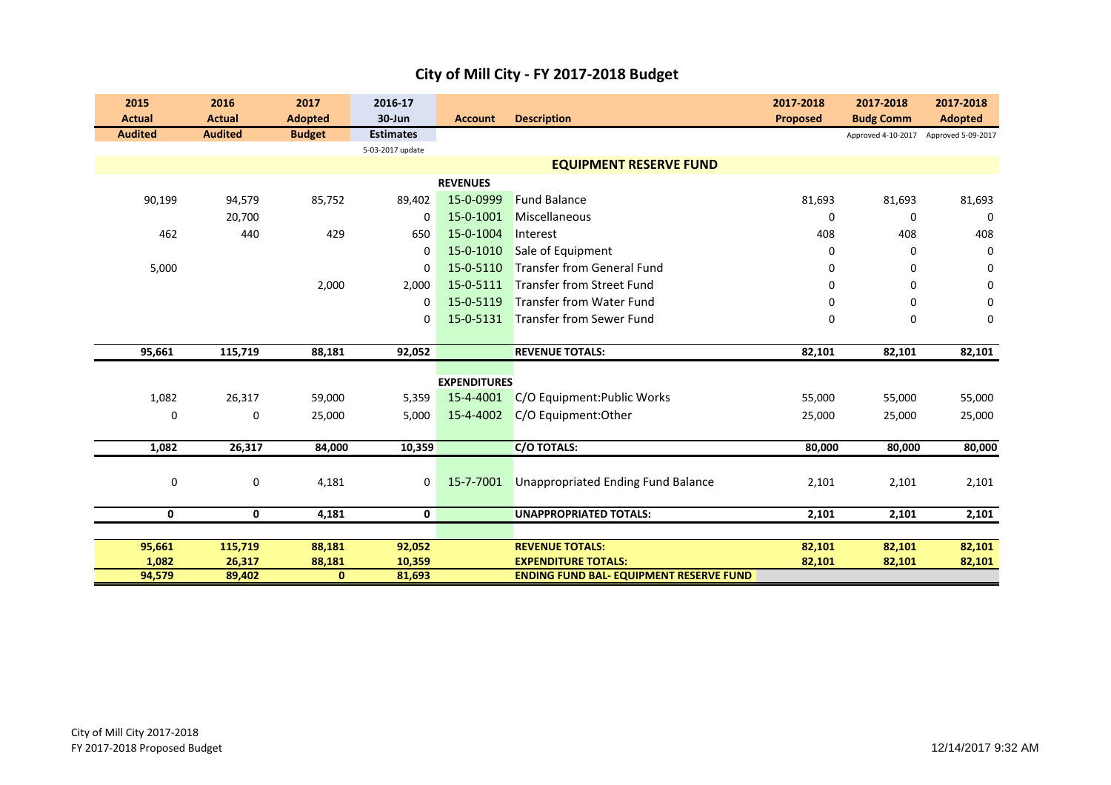| 2015           | 2016           | 2017           | 2016-17          |                     |                                                | 2017-2018 | 2017-2018          | 2017-2018          |
|----------------|----------------|----------------|------------------|---------------------|------------------------------------------------|-----------|--------------------|--------------------|
| <b>Actual</b>  | <b>Actual</b>  | <b>Adopted</b> | 30-Jun           | <b>Account</b>      | <b>Description</b>                             | Proposed  | <b>Budg Comm</b>   | <b>Adopted</b>     |
| <b>Audited</b> | <b>Audited</b> | <b>Budget</b>  | <b>Estimates</b> |                     |                                                |           | Approved 4-10-2017 | Approved 5-09-2017 |
|                |                |                | 5-03-2017 update |                     |                                                |           |                    |                    |
|                |                |                |                  |                     | <b>EQUIPMENT RESERVE FUND</b>                  |           |                    |                    |
|                |                |                |                  | <b>REVENUES</b>     |                                                |           |                    |                    |
| 90,199         | 94,579         | 85,752         | 89,402           | 15-0-0999           | <b>Fund Balance</b>                            | 81,693    | 81,693             | 81,693             |
|                | 20,700         |                | 0                | 15-0-1001           | Miscellaneous                                  | 0         | 0                  | $\mathbf 0$        |
| 462            | 440            | 429            | 650              | 15-0-1004           | Interest                                       | 408       | 408                | 408                |
|                |                |                | $\mathbf 0$      | 15-0-1010           | Sale of Equipment                              | 0         | 0                  | $\mathbf 0$        |
| 5,000          |                |                | $\mathbf 0$      | 15-0-5110           | <b>Transfer from General Fund</b>              | 0         | 0                  | $\mathbf 0$        |
|                |                | 2,000          | 2,000            | 15-0-5111           | <b>Transfer from Street Fund</b>               | 0         | 0                  | 0                  |
|                |                |                | $\Omega$         | 15-0-5119           | <b>Transfer from Water Fund</b>                | $\Omega$  | $\Omega$           | $\mathbf 0$        |
|                |                |                | 0                | 15-0-5131           | Transfer from Sewer Fund                       | 0         | 0                  | $\mathbf 0$        |
|                |                |                |                  |                     |                                                |           |                    |                    |
| 95,661         | 115,719        | 88,181         | 92,052           |                     | <b>REVENUE TOTALS:</b>                         | 82,101    | 82,101             | 82,101             |
|                |                |                |                  |                     |                                                |           |                    |                    |
|                |                |                |                  | <b>EXPENDITURES</b> |                                                |           |                    |                    |
| 1,082          | 26,317         | 59,000         | 5,359            | 15-4-4001           | C/O Equipment: Public Works                    | 55,000    | 55,000             | 55,000             |
| 0              | 0              | 25,000         | 5,000            | 15-4-4002           | C/O Equipment: Other                           | 25,000    | 25,000             | 25,000             |
|                |                |                |                  |                     |                                                |           |                    |                    |
| 1,082          | 26,317         | 84,000         | 10,359           |                     | C/O TOTALS:                                    | 80,000    | 80,000             | 80,000             |
|                |                |                |                  |                     |                                                |           |                    |                    |
| 0              | 0              | 4,181          | 0                | 15-7-7001           | <b>Unappropriated Ending Fund Balance</b>      | 2,101     | 2,101              | 2,101              |
|                |                |                |                  |                     |                                                |           |                    |                    |
| 0              | 0              | 4,181          | 0                |                     | <b>UNAPPROPRIATED TOTALS:</b>                  | 2,101     | 2,101              | 2,101              |
|                |                |                |                  |                     |                                                |           |                    |                    |
| 95,661         | 115,719        | 88,181         | 92,052           |                     | <b>REVENUE TOTALS:</b>                         | 82,101    | 82,101             | 82,101             |
| 1,082          | 26,317         | 88,181         | 10,359           |                     | <b>EXPENDITURE TOTALS:</b>                     | 82,101    | 82,101             | 82,101             |
| 94,579         | 89,402         | $\mathbf{0}$   | 81,693           |                     | <b>ENDING FUND BAL- EQUIPMENT RESERVE FUND</b> |           |                    |                    |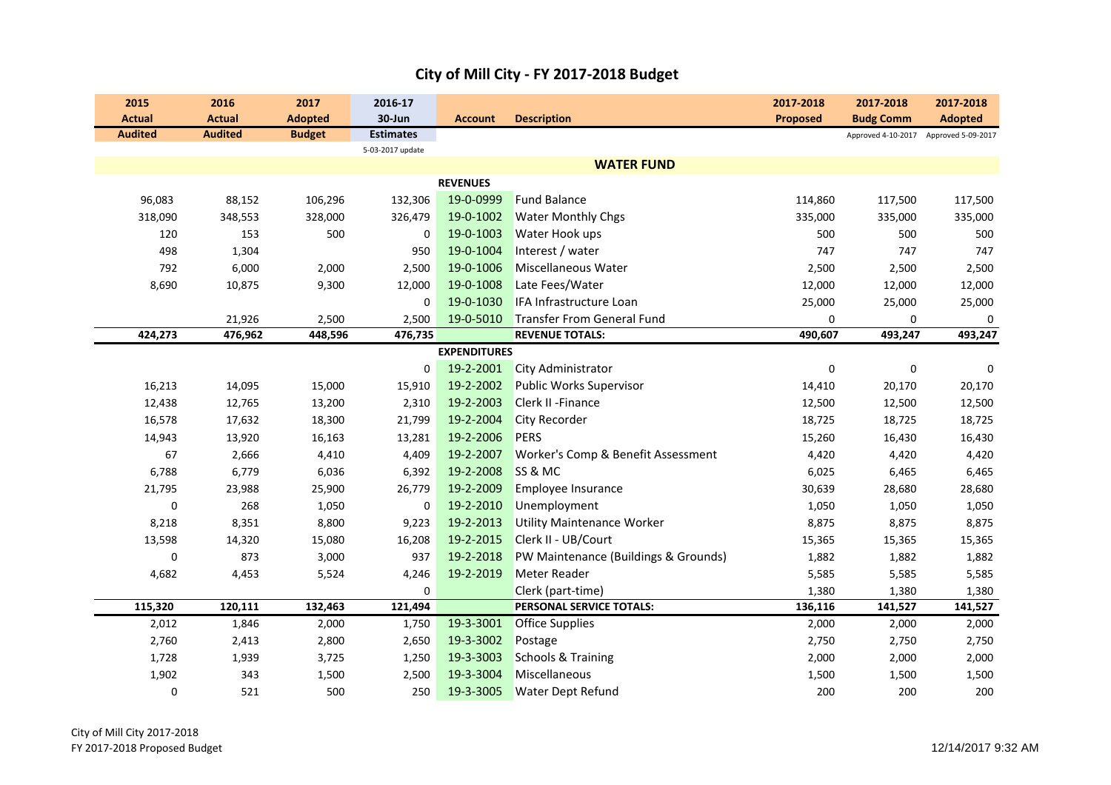|  | City of Mill City - FY 2017-2018 Budget |
|--|-----------------------------------------|
|--|-----------------------------------------|

| 2015<br><b>Actual</b> | 2016<br><b>Actual</b> | 2017<br><b>Adopted</b> | 2016-17<br>30-Jun | <b>Account</b>      | <b>Description</b>                   | 2017-2018<br><b>Proposed</b> | 2017-2018<br><b>Budg Comm</b> | 2017-2018<br><b>Adopted</b> |
|-----------------------|-----------------------|------------------------|-------------------|---------------------|--------------------------------------|------------------------------|-------------------------------|-----------------------------|
| <b>Audited</b>        | <b>Audited</b>        | <b>Budget</b>          | <b>Estimates</b>  |                     |                                      |                              | Approved 4-10-2017            | Approved 5-09-2017          |
|                       |                       |                        | 5-03-2017 update  |                     |                                      |                              |                               |                             |
|                       |                       |                        |                   |                     | <b>WATER FUND</b>                    |                              |                               |                             |
|                       |                       |                        |                   | <b>REVENUES</b>     |                                      |                              |                               |                             |
| 96,083                | 88,152                | 106,296                | 132,306           | 19-0-0999           | <b>Fund Balance</b>                  | 114,860                      | 117,500                       | 117,500                     |
| 318,090               | 348,553               | 328,000                | 326,479           | 19-0-1002           | <b>Water Monthly Chgs</b>            | 335,000                      | 335,000                       | 335,000                     |
| 120                   | 153                   | 500                    | 0                 | 19-0-1003           | Water Hook ups                       | 500                          | 500                           | 500                         |
| 498                   | 1,304                 |                        | 950               | 19-0-1004           | Interest / water                     | 747                          | 747                           | 747                         |
| 792                   | 6,000                 | 2,000                  | 2,500             | 19-0-1006           | Miscellaneous Water                  | 2,500                        | 2,500                         | 2,500                       |
| 8,690                 | 10,875                | 9,300                  | 12,000            | 19-0-1008           | Late Fees/Water                      | 12,000                       | 12,000                        | 12,000                      |
|                       |                       |                        | 0                 | 19-0-1030           | IFA Infrastructure Loan              | 25,000                       | 25,000                        | 25,000                      |
|                       | 21,926                | 2,500                  | 2,500             | 19-0-5010           | <b>Transfer From General Fund</b>    | $\mathbf 0$                  | $\mathbf{0}$                  | 0                           |
| 424,273               | 476,962               | 448,596                | 476,735           |                     | <b>REVENUE TOTALS:</b>               | 490,607                      | 493,247                       | 493,247                     |
|                       |                       |                        |                   | <b>EXPENDITURES</b> |                                      |                              |                               |                             |
|                       |                       |                        | 0                 | 19-2-2001           | <b>City Administrator</b>            | $\pmb{0}$                    | 0                             | $\mathbf 0$                 |
| 16,213                | 14,095                | 15,000                 | 15,910            | 19-2-2002           | <b>Public Works Supervisor</b>       | 14,410                       | 20,170                        | 20,170                      |
| 12,438                | 12,765                | 13,200                 | 2,310             | 19-2-2003           | <b>Clerk II - Finance</b>            | 12,500                       | 12,500                        | 12,500                      |
| 16,578                | 17,632                | 18,300                 | 21,799            | 19-2-2004           | City Recorder                        | 18,725                       | 18,725                        | 18,725                      |
| 14,943                | 13,920                | 16,163                 | 13,281            | 19-2-2006           | <b>PERS</b>                          | 15,260                       | 16,430                        | 16,430                      |
| 67                    | 2,666                 | 4,410                  | 4,409             | 19-2-2007           | Worker's Comp & Benefit Assessment   | 4,420                        | 4,420                         | 4,420                       |
| 6,788                 | 6,779                 | 6,036                  | 6,392             | 19-2-2008           | SS & MC                              | 6,025                        | 6,465                         | 6,465                       |
| 21,795                | 23,988                | 25,900                 | 26,779            | 19-2-2009           | Employee Insurance                   | 30,639                       | 28,680                        | 28,680                      |
| 0                     | 268                   | 1,050                  | 0                 | 19-2-2010           | Unemployment                         | 1,050                        | 1,050                         | 1,050                       |
| 8,218                 | 8,351                 | 8,800                  | 9,223             | 19-2-2013           | <b>Utility Maintenance Worker</b>    | 8,875                        | 8,875                         | 8,875                       |
| 13,598                | 14,320                | 15,080                 | 16,208            | 19-2-2015           | Clerk II - UB/Court                  | 15,365                       | 15,365                        | 15,365                      |
| 0                     | 873                   | 3,000                  | 937               | 19-2-2018           | PW Maintenance (Buildings & Grounds) | 1,882                        | 1,882                         | 1,882                       |
| 4,682                 | 4,453                 | 5,524                  | 4,246             | 19-2-2019           | Meter Reader                         | 5,585                        | 5,585                         | 5,585                       |
|                       |                       |                        | 0                 |                     | Clerk (part-time)                    | 1,380                        | 1,380                         | 1,380                       |
| 115,320               | 120,111               | 132,463                | 121,494           |                     | PERSONAL SERVICE TOTALS:             | 136,116                      | 141,527                       | 141,527                     |
| 2,012                 | 1,846                 | 2,000                  | 1,750             | 19-3-3001           | <b>Office Supplies</b>               | 2,000                        | 2,000                         | 2,000                       |
| 2,760                 | 2,413                 | 2,800                  | 2,650             | 19-3-3002           | Postage                              | 2,750                        | 2,750                         | 2,750                       |
| 1,728                 | 1,939                 | 3,725                  | 1,250             | 19-3-3003           | <b>Schools &amp; Training</b>        | 2,000                        | 2,000                         | 2,000                       |
| 1,902                 | 343                   | 1,500                  | 2,500             | 19-3-3004           | Miscellaneous                        | 1,500                        | 1,500                         | 1,500                       |
| 0                     | 521                   | 500                    | 250               | 19-3-3005           | <b>Water Dept Refund</b>             | 200                          | 200                           | 200                         |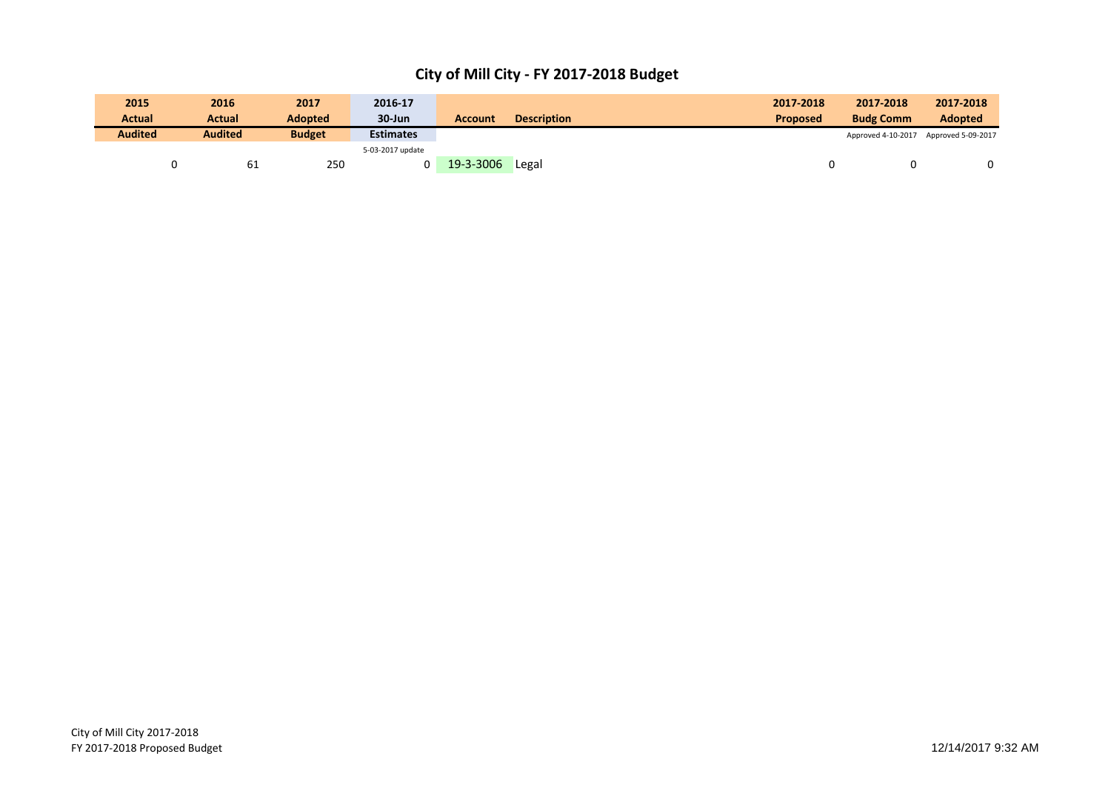| 2015           | 2016           | 2017           | 2016-17          |           |                    | 2017-2018       | 2017-2018          | 2017-2018          |
|----------------|----------------|----------------|------------------|-----------|--------------------|-----------------|--------------------|--------------------|
| <b>Actual</b>  | Actual         | <b>Adopted</b> | $30 - Jun$       | Account   | <b>Description</b> | <b>Proposed</b> | <b>Budg Comm</b>   | <b>Adopted</b>     |
| <b>Audited</b> | <b>Audited</b> | <b>Budget</b>  | <b>Estimates</b> |           |                    |                 | Approved 4-10-2017 | Approved 5-09-2017 |
|                |                |                | 5-03-2017 update |           |                    |                 |                    |                    |
|                |                | 250<br>-61     |                  | 19-3-3006 | Legal              |                 |                    | 0                  |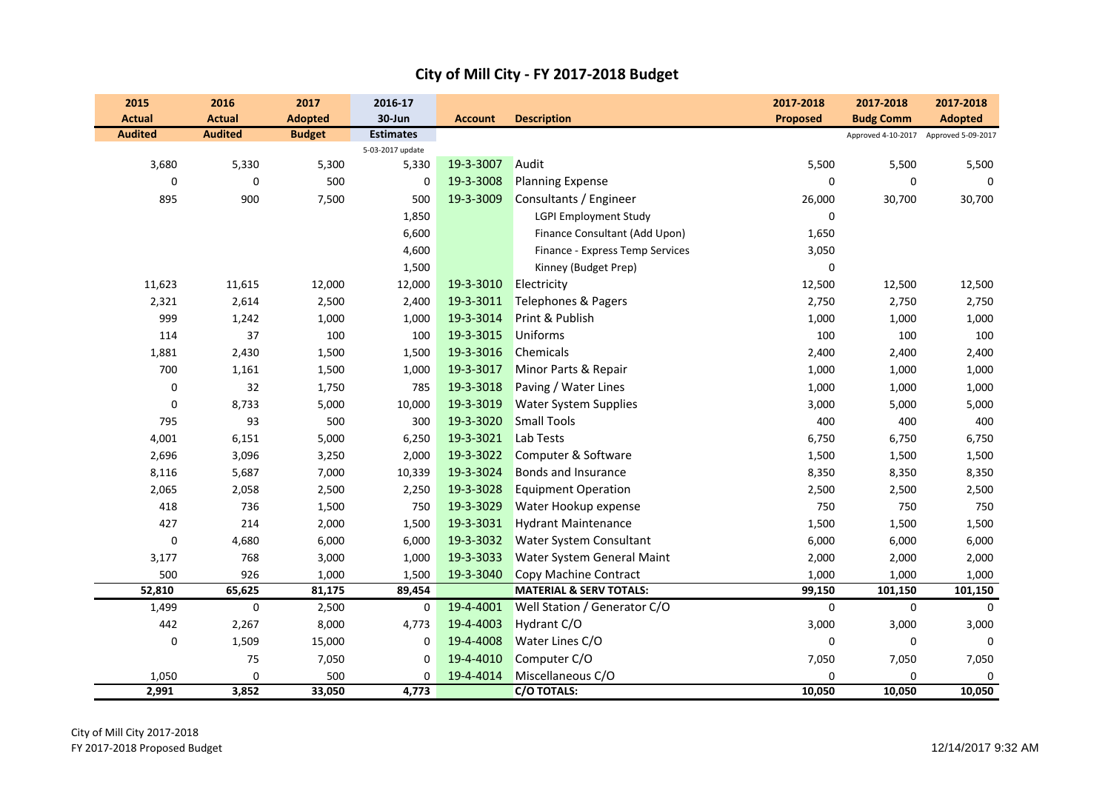| 2015                            | 2016                            | 2017                            | 2016-17                    |                |                                    | 2017-2018       | 2017-2018                                                 | 2017-2018      |
|---------------------------------|---------------------------------|---------------------------------|----------------------------|----------------|------------------------------------|-----------------|-----------------------------------------------------------|----------------|
| <b>Actual</b><br><b>Audited</b> | <b>Actual</b><br><b>Audited</b> | <b>Adopted</b><br><b>Budget</b> | 30-Jun<br><b>Estimates</b> | <b>Account</b> | <b>Description</b>                 | <b>Proposed</b> | <b>Budg Comm</b><br>Approved 4-10-2017 Approved 5-09-2017 | <b>Adopted</b> |
|                                 |                                 |                                 | 5-03-2017 update           |                |                                    |                 |                                                           |                |
| 3,680                           | 5,330                           | 5,300                           | 5,330                      | 19-3-3007      | Audit                              | 5,500           | 5,500                                                     | 5,500          |
| $\boldsymbol{0}$                | $\pmb{0}$                       | 500                             | $\boldsymbol{0}$           | 19-3-3008      | <b>Planning Expense</b>            | 0               | 0                                                         | $\mathbf 0$    |
| 895                             | 900                             | 7,500                           | 500                        | 19-3-3009      | Consultants / Engineer             | 26,000          | 30,700                                                    | 30,700         |
|                                 |                                 |                                 | 1,850                      |                | <b>LGPI Employment Study</b>       | $\mathbf 0$     |                                                           |                |
|                                 |                                 |                                 | 6,600                      |                | Finance Consultant (Add Upon)      | 1,650           |                                                           |                |
|                                 |                                 |                                 | 4,600                      |                | Finance - Express Temp Services    | 3,050           |                                                           |                |
|                                 |                                 |                                 | 1,500                      |                | Kinney (Budget Prep)               | $\mathbf{0}$    |                                                           |                |
| 11,623                          | 11,615                          | 12,000                          | 12,000                     | 19-3-3010      | Electricity                        | 12,500          | 12,500                                                    | 12,500         |
| 2,321                           | 2,614                           | 2,500                           | 2,400                      | 19-3-3011      | Telephones & Pagers                | 2,750           | 2,750                                                     | 2,750          |
| 999                             | 1,242                           | 1,000                           | 1,000                      | 19-3-3014      | Print & Publish                    | 1,000           | 1,000                                                     | 1,000          |
| 114                             | 37                              | 100                             | 100                        | 19-3-3015      | <b>Uniforms</b>                    | 100             | 100                                                       | 100            |
| 1,881                           | 2,430                           | 1,500                           | 1,500                      | 19-3-3016      | Chemicals                          | 2,400           | 2,400                                                     | 2,400          |
| 700                             | 1,161                           | 1,500                           | 1,000                      | 19-3-3017      | Minor Parts & Repair               | 1,000           | 1,000                                                     | 1,000          |
| $\boldsymbol{0}$                | 32                              | 1,750                           | 785                        | 19-3-3018      | Paving / Water Lines               | 1,000           | 1,000                                                     | 1,000          |
| $\pmb{0}$                       | 8,733                           | 5,000                           | 10,000                     | 19-3-3019      | <b>Water System Supplies</b>       | 3,000           | 5,000                                                     | 5,000          |
| 795                             | 93                              | 500                             | 300                        | 19-3-3020      | <b>Small Tools</b>                 | 400             | 400                                                       | 400            |
| 4,001                           | 6,151                           | 5,000                           | 6,250                      | 19-3-3021      | Lab Tests                          | 6,750           | 6,750                                                     | 6,750          |
| 2,696                           | 3,096                           | 3,250                           | 2,000                      | 19-3-3022      | Computer & Software                | 1,500           | 1,500                                                     | 1,500          |
| 8,116                           | 5,687                           | 7,000                           | 10,339                     | 19-3-3024      | <b>Bonds and Insurance</b>         | 8,350           | 8,350                                                     | 8,350          |
| 2,065                           | 2,058                           | 2,500                           | 2,250                      | 19-3-3028      | <b>Equipment Operation</b>         | 2,500           | 2,500                                                     | 2,500          |
| 418                             | 736                             | 1,500                           | 750                        | 19-3-3029      | Water Hookup expense               | 750             | 750                                                       | 750            |
| 427                             | 214                             | 2,000                           | 1,500                      | 19-3-3031      | <b>Hydrant Maintenance</b>         | 1,500           | 1,500                                                     | 1,500          |
| $\pmb{0}$                       | 4,680                           | 6,000                           | 6,000                      | 19-3-3032      | Water System Consultant            | 6,000           | 6,000                                                     | 6,000          |
| 3,177                           | 768                             | 3,000                           | 1,000                      | 19-3-3033      | Water System General Maint         | 2,000           | 2,000                                                     | 2,000          |
| 500                             | 926                             | 1,000                           | 1,500                      | 19-3-3040      | Copy Machine Contract              | 1,000           | 1,000                                                     | 1,000          |
| 52,810                          | 65,625                          | 81,175                          | 89,454                     |                | <b>MATERIAL &amp; SERV TOTALS:</b> | 99,150          | 101,150                                                   | 101,150        |
| 1,499                           | 0                               | 2,500                           | 0                          | 19-4-4001      | Well Station / Generator C/O       | $\mathbf 0$     | 0                                                         | $\mathbf{0}$   |
| 442                             | 2,267                           | 8,000                           | 4,773                      | 19-4-4003      | Hydrant C/O                        | 3,000           | 3,000                                                     | 3,000          |
| $\pmb{0}$                       | 1,509                           | 15,000                          | $\mathbf 0$                | 19-4-4008      | Water Lines C/O                    | $\mathbf{0}$    | $\pmb{0}$                                                 | $\mathbf 0$    |
|                                 | 75                              | 7,050                           | $\mathbf 0$                | 19-4-4010      | Computer C/O                       | 7,050           | 7,050                                                     | 7,050          |
| 1,050                           | 0                               | 500                             | 0                          | 19-4-4014      | Miscellaneous C/O                  | 0               | $\pmb{0}$                                                 | $\mathbf 0$    |
| 2,991                           | 3,852                           | 33,050                          | 4,773                      |                | C/O TOTALS:                        | 10,050          | 10,050                                                    | 10,050         |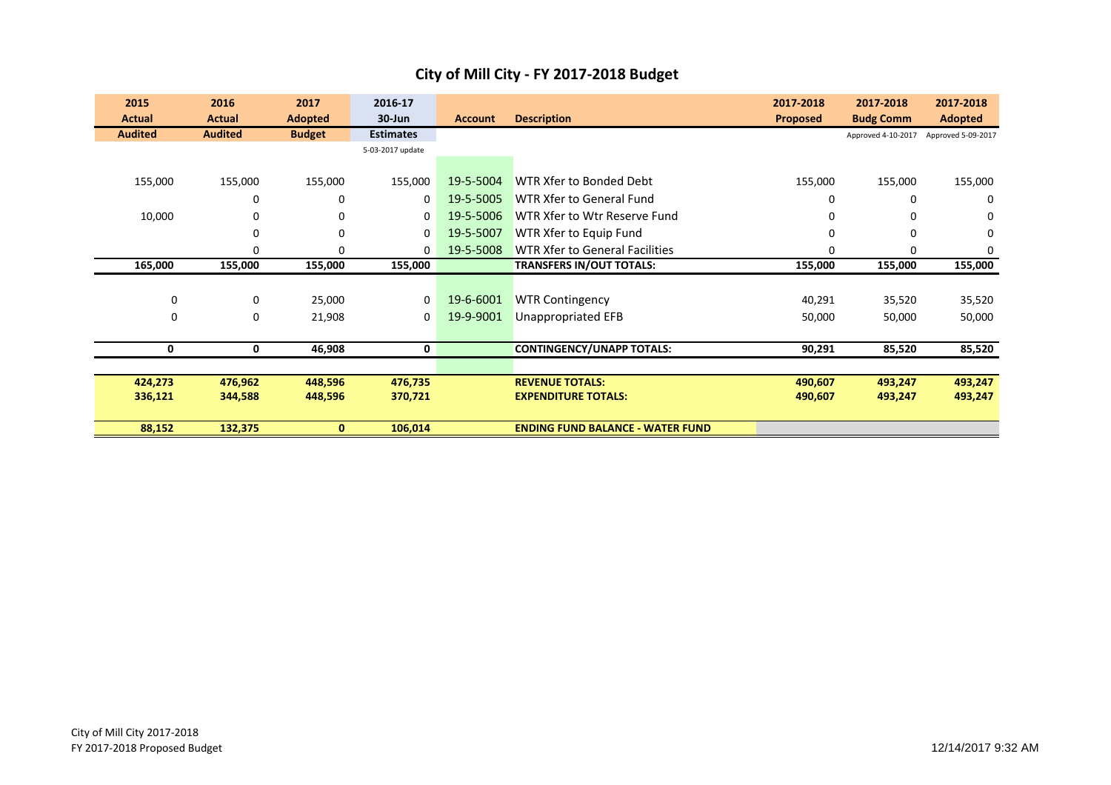| City of Mill City - FY 2017-2018 Budget |  |  |
|-----------------------------------------|--|--|
|-----------------------------------------|--|--|

| 2015           | 2016           | 2017           | 2016-17          |                |                                         | 2017-2018       | 2017-2018          | 2017-2018          |
|----------------|----------------|----------------|------------------|----------------|-----------------------------------------|-----------------|--------------------|--------------------|
| <b>Actual</b>  | <b>Actual</b>  | <b>Adopted</b> | $30 - Jun$       | <b>Account</b> | <b>Description</b>                      | <b>Proposed</b> | <b>Budg Comm</b>   | <b>Adopted</b>     |
| <b>Audited</b> | <b>Audited</b> | <b>Budget</b>  | <b>Estimates</b> |                |                                         |                 | Approved 4-10-2017 | Approved 5-09-2017 |
|                |                |                | 5-03-2017 update |                |                                         |                 |                    |                    |
|                |                |                |                  |                |                                         |                 |                    |                    |
| 155,000        | 155,000        | 155,000        | 155,000          | 19-5-5004      | WTR Xfer to Bonded Debt                 | 155,000         | 155,000            | 155,000            |
|                | 0              | 0              | $\mathbf 0$      | 19-5-5005      | WTR Xfer to General Fund                | 0               | $\Omega$           | 0                  |
| 10,000         | 0              | 0              | 0                | 19-5-5006      | WTR Xfer to Wtr Reserve Fund            | 0               | $\Omega$           | 0                  |
|                | 0              | 0              | 0                | 19-5-5007      | WTR Xfer to Equip Fund                  | $\Omega$        | 0                  | 0                  |
|                | 0              | $\mathbf 0$    | $\mathbf 0$      | 19-5-5008      | WTR Xfer to General Facilities          | $\Omega$        | 0                  | 0                  |
| 165,000        | 155,000        | 155,000        | 155,000          |                | <b>TRANSFERS IN/OUT TOTALS:</b>         | 155,000         | 155,000            | 155,000            |
|                |                |                |                  |                |                                         |                 |                    |                    |
| 0              | 0              | 25,000         | $\mathbf 0$      | 19-6-6001      | <b>WTR Contingency</b>                  | 40,291          | 35,520             | 35,520             |
| 0              | $\mathbf{0}$   | 21,908         | 0                | 19-9-9001      | Unappropriated EFB                      | 50,000          | 50,000             | 50,000             |
|                |                |                |                  |                |                                         |                 |                    |                    |
| 0              | 0              | 46,908         | 0                |                | <b>CONTINGENCY/UNAPP TOTALS:</b>        | 90,291          | 85,520             | 85,520             |
|                |                |                |                  |                |                                         |                 |                    |                    |
| 424,273        | 476,962        | 448,596        | 476,735          |                | <b>REVENUE TOTALS:</b>                  | 490,607         | 493,247            | 493,247            |
| 336,121        | 344,588        | 448,596        | 370,721          |                | <b>EXPENDITURE TOTALS:</b>              | 490,607         | 493,247            | 493,247            |
|                |                |                |                  |                |                                         |                 |                    |                    |
| 88,152         | 132,375        | $\bf{0}$       | 106,014          |                | <b>ENDING FUND BALANCE - WATER FUND</b> |                 |                    |                    |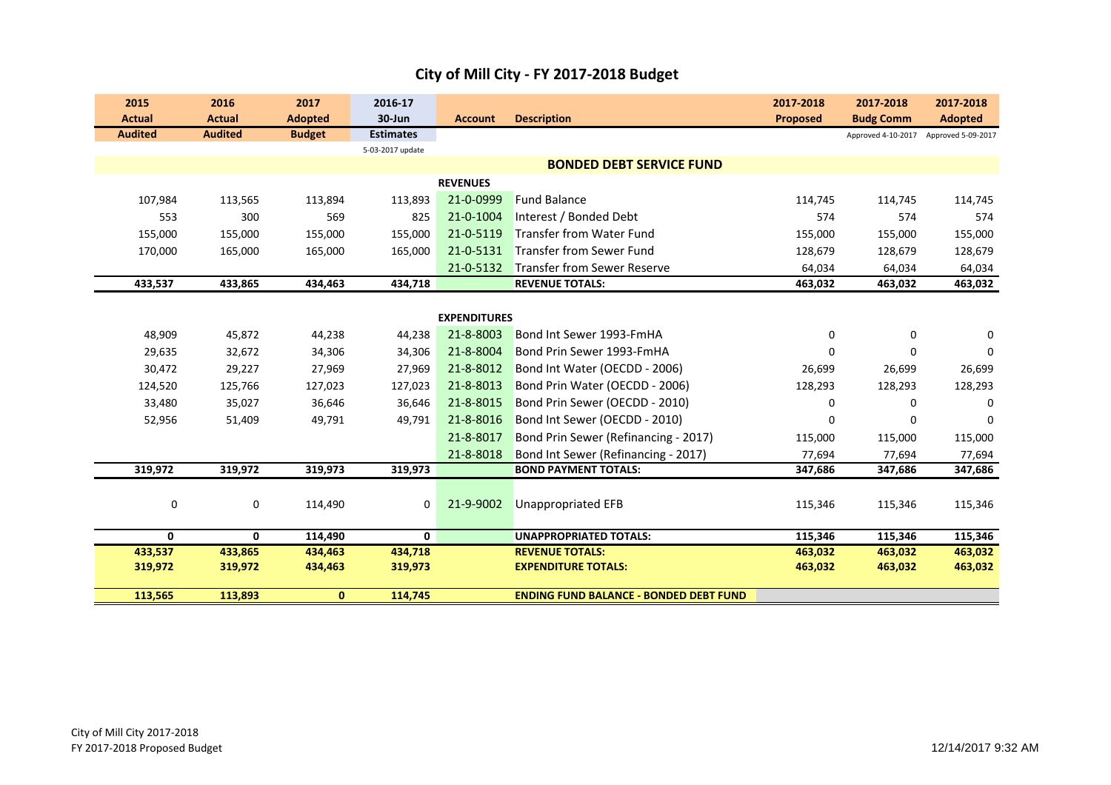| 2015           | 2016           | 2017           | 2016-17          |                     |                                               | 2017-2018       | 2017-2018          | 2017-2018          |
|----------------|----------------|----------------|------------------|---------------------|-----------------------------------------------|-----------------|--------------------|--------------------|
| <b>Actual</b>  | <b>Actual</b>  | <b>Adopted</b> | 30-Jun           | <b>Account</b>      | <b>Description</b>                            | <b>Proposed</b> | <b>Budg Comm</b>   | <b>Adopted</b>     |
| <b>Audited</b> | <b>Audited</b> | <b>Budget</b>  | <b>Estimates</b> |                     |                                               |                 | Approved 4-10-2017 | Approved 5-09-2017 |
|                |                |                | 5-03-2017 update |                     |                                               |                 |                    |                    |
|                |                |                |                  |                     | <b>BONDED DEBT SERVICE FUND</b>               |                 |                    |                    |
|                |                |                |                  | <b>REVENUES</b>     |                                               |                 |                    |                    |
| 107,984        | 113,565        | 113,894        | 113,893          | 21-0-0999           | <b>Fund Balance</b>                           | 114,745         | 114,745            | 114,745            |
| 553            | 300            | 569            | 825              | 21-0-1004           | Interest / Bonded Debt                        | 574             | 574                | 574                |
| 155,000        | 155,000        | 155,000        | 155,000          | 21-0-5119           | <b>Transfer from Water Fund</b>               | 155,000         | 155,000            | 155,000            |
| 170,000        | 165,000        | 165,000        | 165,000          | 21-0-5131           | Transfer from Sewer Fund                      | 128,679         | 128,679            | 128,679            |
|                |                |                |                  | 21-0-5132           | <b>Transfer from Sewer Reserve</b>            | 64,034          | 64,034             | 64,034             |
| 433,537        | 433,865        | 434,463        | 434,718          |                     | <b>REVENUE TOTALS:</b>                        | 463,032         | 463,032            | 463,032            |
|                |                |                |                  |                     |                                               |                 |                    |                    |
|                |                |                |                  | <b>EXPENDITURES</b> |                                               |                 |                    |                    |
| 48,909         | 45,872         | 44,238         | 44,238           | 21-8-8003           | Bond Int Sewer 1993-FmHA                      | $\Omega$        | $\Omega$           | 0                  |
| 29,635         | 32,672         | 34,306         | 34,306           | 21-8-8004           | Bond Prin Sewer 1993-FmHA                     | $\Omega$        | $\Omega$           | 0                  |
| 30,472         | 29,227         | 27,969         | 27,969           | 21-8-8012           | Bond Int Water (OECDD - 2006)                 | 26,699          | 26,699             | 26,699             |
| 124,520        | 125,766        | 127,023        | 127,023          | 21-8-8013           | Bond Prin Water (OECDD - 2006)                | 128,293         | 128,293            | 128,293            |
| 33,480         | 35,027         | 36,646         | 36,646           | 21-8-8015           | Bond Prin Sewer (OECDD - 2010)                | 0               | $\Omega$           | $\Omega$           |
| 52,956         | 51,409         | 49,791         | 49,791           | 21-8-8016           | Bond Int Sewer (OECDD - 2010)                 | 0               | $\mathbf 0$        | $\mathbf 0$        |
|                |                |                |                  | 21-8-8017           | Bond Prin Sewer (Refinancing - 2017)          | 115,000         | 115,000            | 115,000            |
|                |                |                |                  | 21-8-8018           | Bond Int Sewer (Refinancing - 2017)           | 77,694          | 77,694             | 77,694             |
| 319,972        | 319,972        | 319,973        | 319,973          |                     | <b>BOND PAYMENT TOTALS:</b>                   | 347,686         | 347,686            | 347,686            |
|                |                |                |                  |                     |                                               |                 |                    |                    |
| 0              | 0              | 114,490        | 0                | 21-9-9002           | <b>Unappropriated EFB</b>                     | 115,346         | 115,346            | 115,346            |
|                |                |                |                  |                     |                                               |                 |                    |                    |
| 0              | $\mathbf{0}$   | 114,490        | 0                |                     | <b>UNAPPROPRIATED TOTALS:</b>                 | 115,346         | 115,346            | 115,346            |
| 433,537        | 433,865        | 434,463        | 434,718          |                     | <b>REVENUE TOTALS:</b>                        | 463,032         | 463,032            | 463,032            |
| 319,972        | 319,972        | 434,463        | 319,973          |                     | <b>EXPENDITURE TOTALS:</b>                    | 463,032         | 463,032            | 463,032            |
| 113,565        | 113,893        | $\mathbf{0}$   | 114,745          |                     | <b>ENDING FUND BALANCE - BONDED DEBT FUND</b> |                 |                    |                    |
|                |                |                |                  |                     |                                               |                 |                    |                    |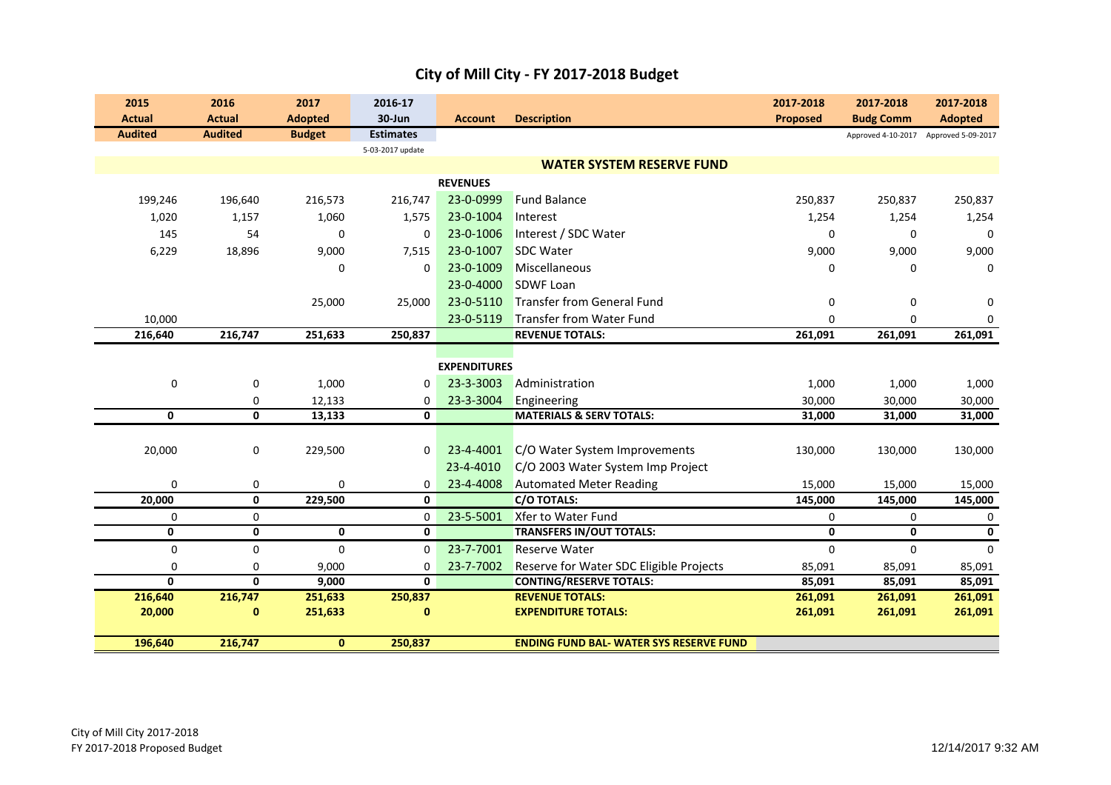|  | City of Mill City - FY 2017-2018 Budget |
|--|-----------------------------------------|
|--|-----------------------------------------|

| 2015           | 2016           | 2017           | 2016-17          |                     |                                                | 2017-2018       | 2017-2018          | 2017-2018          |
|----------------|----------------|----------------|------------------|---------------------|------------------------------------------------|-----------------|--------------------|--------------------|
| <b>Actual</b>  | <b>Actual</b>  | <b>Adopted</b> | 30-Jun           | <b>Account</b>      | <b>Description</b>                             | <b>Proposed</b> | <b>Budg Comm</b>   | <b>Adopted</b>     |
| <b>Audited</b> | <b>Audited</b> | <b>Budget</b>  | <b>Estimates</b> |                     |                                                |                 | Approved 4-10-2017 | Approved 5-09-2017 |
|                |                |                | 5-03-2017 update |                     |                                                |                 |                    |                    |
|                |                |                |                  |                     | <b>WATER SYSTEM RESERVE FUND</b>               |                 |                    |                    |
|                |                |                |                  | <b>REVENUES</b>     |                                                |                 |                    |                    |
| 199,246        | 196,640        | 216,573        | 216,747          | 23-0-0999           | <b>Fund Balance</b>                            | 250,837         | 250,837            | 250,837            |
| 1,020          | 1,157          | 1,060          | 1,575            | 23-0-1004           | Interest                                       | 1,254           | 1,254              | 1,254              |
| 145            | 54             | $\mathbf 0$    | 0                | 23-0-1006           | Interest / SDC Water                           | 0               | 0                  | 0                  |
| 6,229          | 18,896         | 9,000          | 7,515            | 23-0-1007           | <b>SDC Water</b>                               | 9,000           | 9,000              | 9,000              |
|                |                | $\Omega$       | $\Omega$         | 23-0-1009           | Miscellaneous                                  | $\Omega$        | $\Omega$           | $\Omega$           |
|                |                |                |                  | 23-0-4000           | <b>SDWF Loan</b>                               |                 |                    |                    |
|                |                | 25,000         | 25,000           | 23-0-5110           | <b>Transfer from General Fund</b>              | $\mathbf 0$     | $\mathbf 0$        | $\Omega$           |
| 10,000         |                |                |                  | 23-0-5119           | <b>Transfer from Water Fund</b>                | $\Omega$        | 0                  | 0                  |
| 216,640        | 216,747        | 251,633        | 250,837          |                     | <b>REVENUE TOTALS:</b>                         | 261,091         | 261,091            | 261,091            |
|                |                |                |                  |                     |                                                |                 |                    |                    |
|                |                |                |                  | <b>EXPENDITURES</b> |                                                |                 |                    |                    |
| 0              | 0              | 1,000          | 0                | 23-3-3003           | Administration                                 | 1,000           | 1,000              | 1,000              |
|                | 0              | 12,133         | 0                | 23-3-3004           | Engineering                                    | 30,000          | 30,000             | 30,000             |
| 0              | 0              | 13,133         | 0                |                     | <b>MATERIALS &amp; SERV TOTALS:</b>            | 31,000          | 31,000             | 31,000             |
|                |                |                |                  |                     |                                                |                 |                    |                    |
| 20,000         | 0              | 229,500        | $\mathbf 0$      | 23-4-4001           | C/O Water System Improvements                  | 130,000         | 130,000            | 130,000            |
|                |                |                |                  | 23-4-4010           | C/O 2003 Water System Imp Project              |                 |                    |                    |
| 0              | 0              | 0              | 0                | 23-4-4008           | <b>Automated Meter Reading</b>                 | 15,000          | 15,000             | 15,000             |
| 20,000         | 0              | 229,500        | 0                |                     | <b>C/O TOTALS:</b>                             | 145,000         | 145,000            | 145,000            |
| 0              | 0              |                | $\mathbf 0$      | 23-5-5001           | Xfer to Water Fund                             | $\mathbf 0$     | $\mathbf 0$        | 0                  |
| 0              | 0              | $\mathbf 0$    | $\mathbf{0}$     |                     | <b>TRANSFERS IN/OUT TOTALS:</b>                | $\mathbf 0$     | 0                  | $\mathbf 0$        |
| $\pmb{0}$      | 0              | $\mathbf 0$    | $\mathbf 0$      | 23-7-7001           | <b>Reserve Water</b>                           | $\mathbf 0$     | $\Omega$           | $\Omega$           |
| 0              | 0              | 9,000          | 0                | 23-7-7002           | Reserve for Water SDC Eligible Projects        | 85,091          | 85,091             | 85,091             |
| 0              | $\mathbf{0}$   | 9,000          | 0                |                     | <b>CONTING/RESERVE TOTALS:</b>                 | 85,091          | 85,091             | 85,091             |
| 216,640        | 216,747        | 251,633        | 250,837          |                     | <b>REVENUE TOTALS:</b>                         | 261,091         | 261,091            | 261,091            |
| 20,000         | 0              | 251,633        | $\bf{0}$         |                     | <b>EXPENDITURE TOTALS:</b>                     | 261,091         | 261,091            | 261,091            |
|                |                |                |                  |                     | <b>ENDING FUND BAL- WATER SYS RESERVE FUND</b> |                 |                    |                    |
| 196,640        | 216,747        | $\mathbf{0}$   | 250,837          |                     |                                                |                 |                    |                    |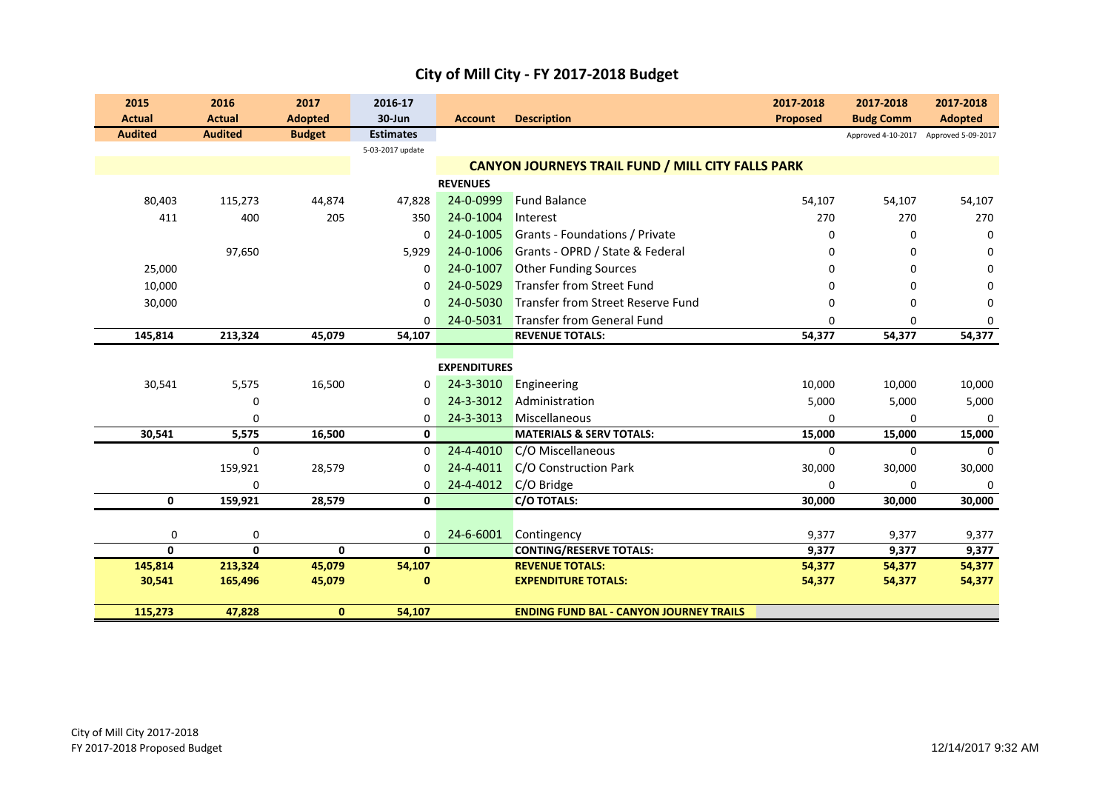| 2015           | 2016           | 2017           | 2016-17          |                     |                                                          | 2017-2018       | 2017-2018                             | 2017-2018      |
|----------------|----------------|----------------|------------------|---------------------|----------------------------------------------------------|-----------------|---------------------------------------|----------------|
| <b>Actual</b>  | <b>Actual</b>  | <b>Adopted</b> | 30-Jun           | <b>Account</b>      | <b>Description</b>                                       | <b>Proposed</b> | <b>Budg Comm</b>                      | <b>Adopted</b> |
| <b>Audited</b> | <b>Audited</b> | <b>Budget</b>  | <b>Estimates</b> |                     |                                                          |                 | Approved 4-10-2017 Approved 5-09-2017 |                |
|                |                |                | 5-03-2017 update |                     |                                                          |                 |                                       |                |
|                |                |                |                  |                     | <b>CANYON JOURNEYS TRAIL FUND / MILL CITY FALLS PARK</b> |                 |                                       |                |
|                |                |                |                  | <b>REVENUES</b>     |                                                          |                 |                                       |                |
| 80,403         | 115,273        | 44,874         | 47,828           | 24-0-0999           | <b>Fund Balance</b>                                      | 54,107          | 54,107                                | 54,107         |
| 411            | 400            | 205            | 350              | 24-0-1004           | Interest                                                 | 270             | 270                                   | 270            |
|                |                |                | 0                | 24-0-1005           | Grants - Foundations / Private                           | 0               | $\mathbf 0$                           | $\mathbf 0$    |
|                | 97,650         |                | 5,929            | 24-0-1006           | Grants - OPRD / State & Federal                          | 0               | 0                                     | 0              |
| 25,000         |                |                | 0                | 24-0-1007           | <b>Other Funding Sources</b>                             | <sup>0</sup>    | 0                                     | 0              |
| 10,000         |                |                | $\Omega$         | 24-0-5029           | <b>Transfer from Street Fund</b>                         |                 | 0                                     | 0              |
| 30,000         |                |                | 0                | 24-0-5030           | <b>Transfer from Street Reserve Fund</b>                 | n               | 0                                     | $\Omega$       |
|                |                |                | $\Omega$         | 24-0-5031           | Transfer from General Fund                               | $\Omega$        | $\mathbf 0$                           | $\Omega$       |
| 145,814        | 213,324        | 45,079         | 54,107           |                     | <b>REVENUE TOTALS:</b>                                   | 54,377          | 54,377                                | 54,377         |
|                |                |                |                  |                     |                                                          |                 |                                       |                |
|                |                |                |                  | <b>EXPENDITURES</b> |                                                          |                 |                                       |                |
| 30,541         | 5,575          | 16,500         | 0                | 24-3-3010           | Engineering                                              | 10,000          | 10,000                                | 10,000         |
|                | $\mathbf 0$    |                | $\Omega$         | 24-3-3012           | Administration                                           | 5,000           | 5,000                                 | 5,000          |
|                | 0              |                | 0                | 24-3-3013           | Miscellaneous                                            | $\Omega$        | $\mathbf 0$                           | 0              |
| 30,541         | 5,575          | 16,500         | 0                |                     | <b>MATERIALS &amp; SERV TOTALS:</b>                      | 15,000          | 15,000                                | 15,000         |
|                | 0              |                | 0                | 24-4-4010           | C/O Miscellaneous                                        | $\mathbf 0$     | $\mathbf{0}$                          | $\Omega$       |
|                | 159,921        | 28,579         | $\Omega$         | 24-4-4011           | C/O Construction Park                                    | 30,000          | 30,000                                | 30,000         |
|                | $\mathbf 0$    |                | 0                | 24-4-4012           | C/O Bridge                                               | $\Omega$        | 0                                     | $\Omega$       |
| $\mathbf 0$    | 159,921        | 28,579         | 0                |                     | C/O TOTALS:                                              | 30,000          | 30,000                                | 30,000         |
|                |                |                |                  |                     |                                                          |                 |                                       |                |
| 0              | 0              |                | 0                | 24-6-6001           | Contingency                                              | 9,377           | 9,377                                 | 9,377          |
| 0              | $\mathbf{0}$   | 0              | $\mathbf{0}$     |                     | <b>CONTING/RESERVE TOTALS:</b>                           | 9,377           | 9,377                                 | 9,377          |
| 145,814        | 213,324        | 45,079         | 54,107           |                     | <b>REVENUE TOTALS:</b>                                   | 54,377          | 54,377                                | 54,377         |
| 30,541         | 165,496        | 45,079         | $\mathbf 0$      |                     | <b>EXPENDITURE TOTALS:</b>                               | 54,377          | 54,377                                | 54,377         |
|                |                |                |                  |                     |                                                          |                 |                                       |                |
| 115,273        | 47,828         | $\mathbf{0}$   | 54,107           |                     | <b>ENDING FUND BAL - CANYON JOURNEY TRAILS</b>           |                 |                                       |                |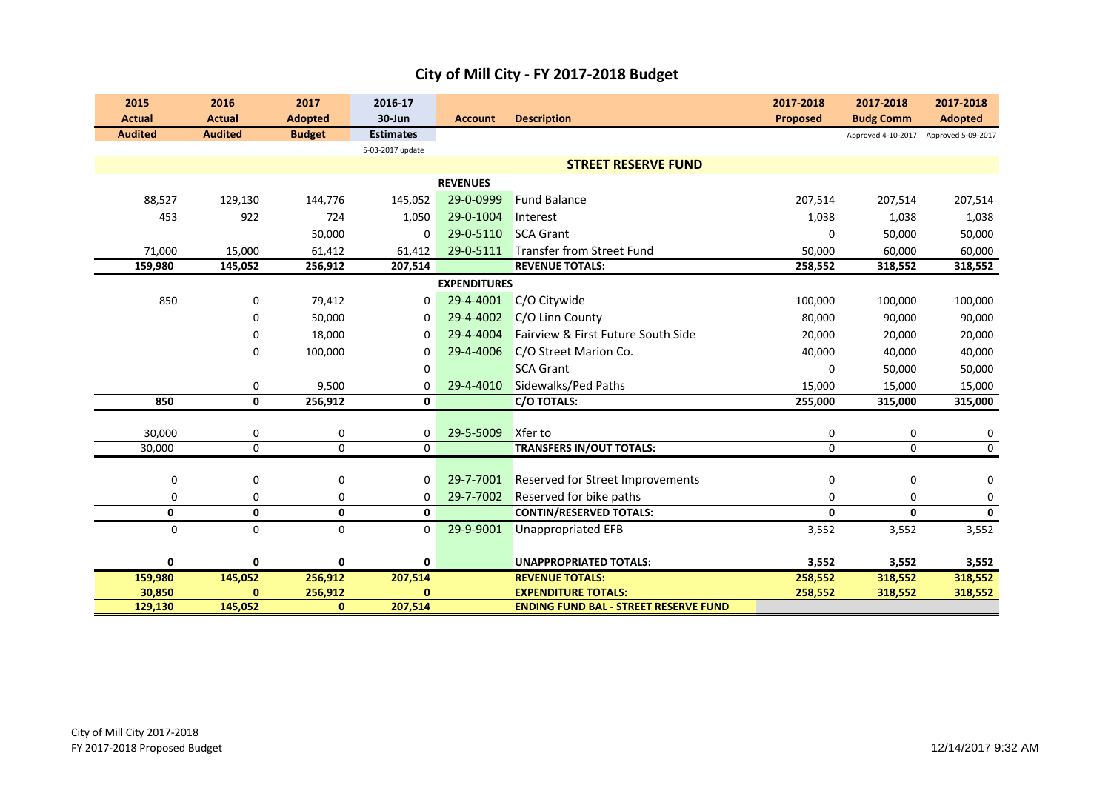|  | City of Mill City - FY 2017-2018 Budget |
|--|-----------------------------------------|
|--|-----------------------------------------|

| 2015                    | 2016           | 2017                    | 2016-17          |                     |                                                                            | 2017-2018       | 2017-2018                             | 2017-2018               |
|-------------------------|----------------|-------------------------|------------------|---------------------|----------------------------------------------------------------------------|-----------------|---------------------------------------|-------------------------|
| <b>Actual</b>           | <b>Actual</b>  | <b>Adopted</b>          | 30-Jun           | <b>Account</b>      | <b>Description</b>                                                         | <b>Proposed</b> | <b>Budg Comm</b>                      | <b>Adopted</b>          |
| <b>Audited</b>          | <b>Audited</b> | <b>Budget</b>           | <b>Estimates</b> |                     |                                                                            |                 | Approved 4-10-2017 Approved 5-09-2017 |                         |
|                         |                |                         | 5-03-2017 update |                     |                                                                            |                 |                                       |                         |
|                         |                |                         |                  |                     | <b>STREET RESERVE FUND</b>                                                 |                 |                                       |                         |
|                         |                |                         |                  | <b>REVENUES</b>     |                                                                            |                 |                                       |                         |
| 88,527                  | 129,130        | 144,776                 | 145,052          | 29-0-0999           | <b>Fund Balance</b>                                                        | 207,514         | 207,514                               | 207,514                 |
| 453                     | 922            | 724                     | 1,050            | 29-0-1004           | Interest                                                                   | 1,038           | 1,038                                 | 1,038                   |
|                         |                | 50,000                  | $\mathbf{0}$     | 29-0-5110           | <b>SCA Grant</b>                                                           | $\mathbf 0$     | 50,000                                | 50,000                  |
| 71,000                  | 15,000         | 61,412                  | 61,412           | 29-0-5111           | Transfer from Street Fund                                                  | 50,000          | 60,000                                | 60,000                  |
| 159,980                 | 145,052        | 256,912                 | 207,514          |                     | <b>REVENUE TOTALS:</b>                                                     | 258,552         | 318,552                               | 318,552                 |
|                         |                |                         |                  | <b>EXPENDITURES</b> |                                                                            |                 |                                       |                         |
| 850                     | 0              | 79,412                  | 0                | 29-4-4001           | C/O Citywide                                                               | 100,000         | 100,000                               | 100,000                 |
|                         | $\mathbf 0$    | 50,000                  | $\mathbf 0$      | 29-4-4002           | C/O Linn County                                                            | 80,000          | 90,000                                | 90,000                  |
|                         | 0              | 18,000                  | $\Omega$         | 29-4-4004           | Fairview & First Future South Side                                         | 20,000          | 20,000                                | 20,000                  |
|                         | $\mathbf 0$    | 100,000                 | 0                | 29-4-4006           | C/O Street Marion Co.                                                      | 40,000          | 40,000                                | 40,000                  |
|                         |                |                         | 0                |                     | <b>SCA Grant</b>                                                           | $\Omega$        | 50,000                                | 50,000                  |
|                         | 0              | 9,500                   | $\Omega$         | 29-4-4010           | Sidewalks/Ped Paths                                                        | 15,000          | 15,000                                | 15,000                  |
| 850                     | 0              | 256,912                 | 0                |                     | C/O TOTALS:                                                                | 255,000         | 315,000                               | 315,000                 |
|                         |                |                         |                  |                     |                                                                            |                 |                                       |                         |
| 30,000                  | 0              | 0                       | 0                | 29-5-5009           | Xfer to                                                                    | $\mathbf 0$     | 0                                     | 0                       |
| 30,000                  | $\Omega$       | $\Omega$                | $\mathbf 0$      |                     | <b>TRANSFERS IN/OUT TOTALS:</b>                                            | $\Omega$        | $\Omega$                              | $\mathbf 0$             |
|                         |                |                         |                  |                     |                                                                            |                 |                                       |                         |
| 0                       | $\mathbf 0$    | 0                       | $\mathbf{0}$     | 29-7-7001           | <b>Reserved for Street Improvements</b>                                    | $\mathbf 0$     | 0                                     | $\mathbf 0$             |
| 0                       | 0              | 0                       | $\mathbf{0}$     | 29-7-7002           | Reserved for bike paths                                                    | 0               | 0                                     | 0                       |
| $\overline{\mathbf{0}}$ | $\mathbf 0$    | $\overline{\mathbf{0}}$ | 0                |                     | <b>CONTIN/RESERVED TOTALS:</b>                                             | $\mathbf{0}$    | $\mathbf{0}$                          | $\overline{\mathbf{0}}$ |
| $\mathbf 0$             | $\mathbf 0$    | 0                       | $\mathbf{0}$     | 29-9-9001           | Unappropriated EFB                                                         | 3,552           | 3,552                                 | 3,552                   |
|                         |                |                         |                  |                     |                                                                            |                 |                                       |                         |
| $\mathbf 0$             | 0              | 0                       | 0                |                     | <b>UNAPPROPRIATED TOTALS:</b>                                              | 3,552           | 3,552                                 | 3,552                   |
| 159,980                 | 145,052        | 256,912                 | 207,514          |                     | <b>REVENUE TOTALS:</b>                                                     | 258,552         | 318,552                               | 318,552                 |
| 30,850                  | $\mathbf{0}$   | 256,912<br>$\mathbf{0}$ | 0                |                     | <b>EXPENDITURE TOTALS:</b><br><b>ENDING FUND BAL - STREET RESERVE FUND</b> | 258,552         | 318,552                               | 318,552                 |
| 129,130                 | 145,052        |                         | 207,514          |                     |                                                                            |                 |                                       |                         |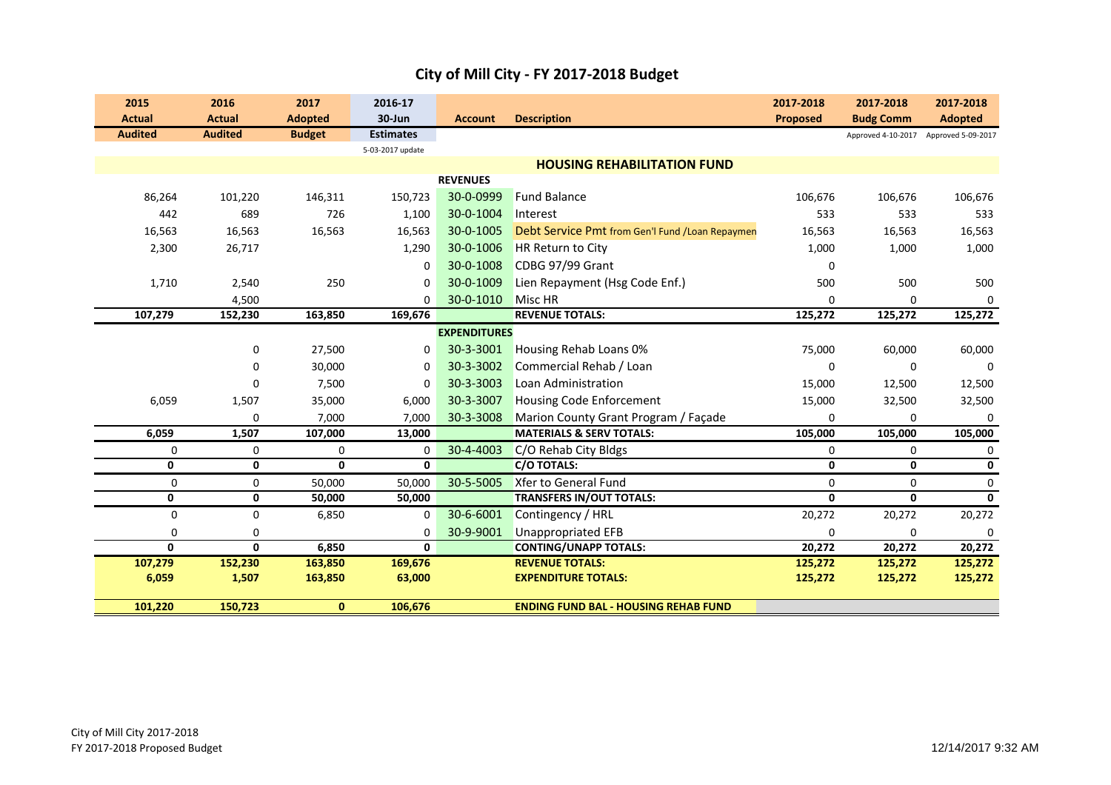| 2015           | 2016           | 2017           | 2016-17          |                     |                                                  | 2017-2018       | 2017-2018                             | 2017-2018      |
|----------------|----------------|----------------|------------------|---------------------|--------------------------------------------------|-----------------|---------------------------------------|----------------|
| <b>Actual</b>  | <b>Actual</b>  | <b>Adopted</b> | 30-Jun           | <b>Account</b>      | <b>Description</b>                               | <b>Proposed</b> | <b>Budg Comm</b>                      | <b>Adopted</b> |
| <b>Audited</b> | <b>Audited</b> | <b>Budget</b>  | <b>Estimates</b> |                     |                                                  |                 | Approved 4-10-2017 Approved 5-09-2017 |                |
|                |                |                | 5-03-2017 update |                     |                                                  |                 |                                       |                |
|                |                |                |                  |                     | <b>HOUSING REHABILITATION FUND</b>               |                 |                                       |                |
|                |                |                |                  | <b>REVENUES</b>     |                                                  |                 |                                       |                |
| 86,264         | 101,220        | 146,311        | 150,723          | 30-0-0999           | <b>Fund Balance</b>                              | 106,676         | 106,676                               | 106,676        |
| 442            | 689            | 726            | 1,100            | 30-0-1004           | Interest                                         | 533             | 533                                   | 533            |
| 16,563         | 16,563         | 16,563         | 16,563           | 30-0-1005           | Debt Service Pmt from Gen'l Fund / Loan Repaymen | 16,563          | 16,563                                | 16,563         |
| 2,300          | 26,717         |                | 1,290            | 30-0-1006           | HR Return to City                                | 1,000           | 1,000                                 | 1,000          |
|                |                |                | 0                | 30-0-1008           | CDBG 97/99 Grant                                 | $\Omega$        |                                       |                |
| 1,710          | 2,540          | 250            | 0                | 30-0-1009           | Lien Repayment (Hsg Code Enf.)                   | 500             | 500                                   | 500            |
|                | 4,500          |                | $\Omega$         | 30-0-1010           | Misc HR                                          | $\Omega$        | $\Omega$                              |                |
| 107,279        | 152,230        | 163,850        | 169,676          |                     | <b>REVENUE TOTALS:</b>                           | 125,272         | 125,272                               | 125,272        |
|                |                |                |                  | <b>EXPENDITURES</b> |                                                  |                 |                                       |                |
|                | 0              | 27,500         | $\mathbf 0$      | 30-3-3001           | Housing Rehab Loans 0%                           | 75,000          | 60,000                                | 60,000         |
|                | 0              | 30,000         | $\Omega$         | 30-3-3002           | Commercial Rehab / Loan                          | 0               | $\mathbf 0$                           | $\Omega$       |
|                | 0              | 7,500          | $\Omega$         | 30-3-3003           | Loan Administration                              | 15,000          | 12,500                                | 12,500         |
| 6,059          | 1,507          | 35,000         | 6,000            | 30-3-3007           | <b>Housing Code Enforcement</b>                  | 15,000          | 32,500                                | 32,500         |
|                | 0              | 7,000          | 7,000            | 30-3-3008           | Marion County Grant Program / Façade             | $\Omega$        | $\mathbf 0$                           | $\Omega$       |
| 6,059          | 1,507          | 107,000        | 13,000           |                     | <b>MATERIALS &amp; SERV TOTALS:</b>              | 105,000         | 105,000                               | 105,000        |
| 0              | 0              | $\mathbf 0$    | 0                | 30-4-4003           | C/O Rehab City Bldgs                             | 0               | 0                                     | 0              |
| 0              | 0              | 0              | 0                |                     | <b>C/O TOTALS:</b>                               | 0               | 0                                     | $\mathbf 0$    |
| 0              | 0              | 50,000         | 50,000           | 30-5-5005           | <b>Xfer to General Fund</b>                      | $\mathbf 0$     | $\mathbf 0$                           | $\mathbf 0$    |
| 0              | 0              | 50,000         | 50,000           |                     | <b>TRANSFERS IN/OUT TOTALS:</b>                  | $\mathbf{0}$    | $\mathbf{0}$                          | $\mathbf{0}$   |
| $\mathbf 0$    | 0              | 6,850          | $\mathbf 0$      | 30-6-6001           | Contingency / HRL                                | 20,272          | 20,272                                | 20,272         |
| 0              | 0              |                | $\mathbf 0$      | 30-9-9001           | <b>Unappropriated EFB</b>                        | $\Omega$        | $\mathbf 0$                           |                |
| 0              | $\mathbf{0}$   | 6,850          | $\mathbf{0}$     |                     | <b>CONTING/UNAPP TOTALS:</b>                     | 20,272          | 20,272                                | 20,272         |
| 107,279        | 152,230        | 163,850        | 169,676          |                     | <b>REVENUE TOTALS:</b>                           | 125,272         | 125,272                               | 125,272        |
| 6,059          | 1,507          | 163,850        | 63,000           |                     | <b>EXPENDITURE TOTALS:</b>                       | 125,272         | 125,272                               | 125,272        |
| 101,220        | 150,723        | $\mathbf{0}$   | 106,676          |                     | <b>ENDING FUND BAL - HOUSING REHAB FUND</b>      |                 |                                       |                |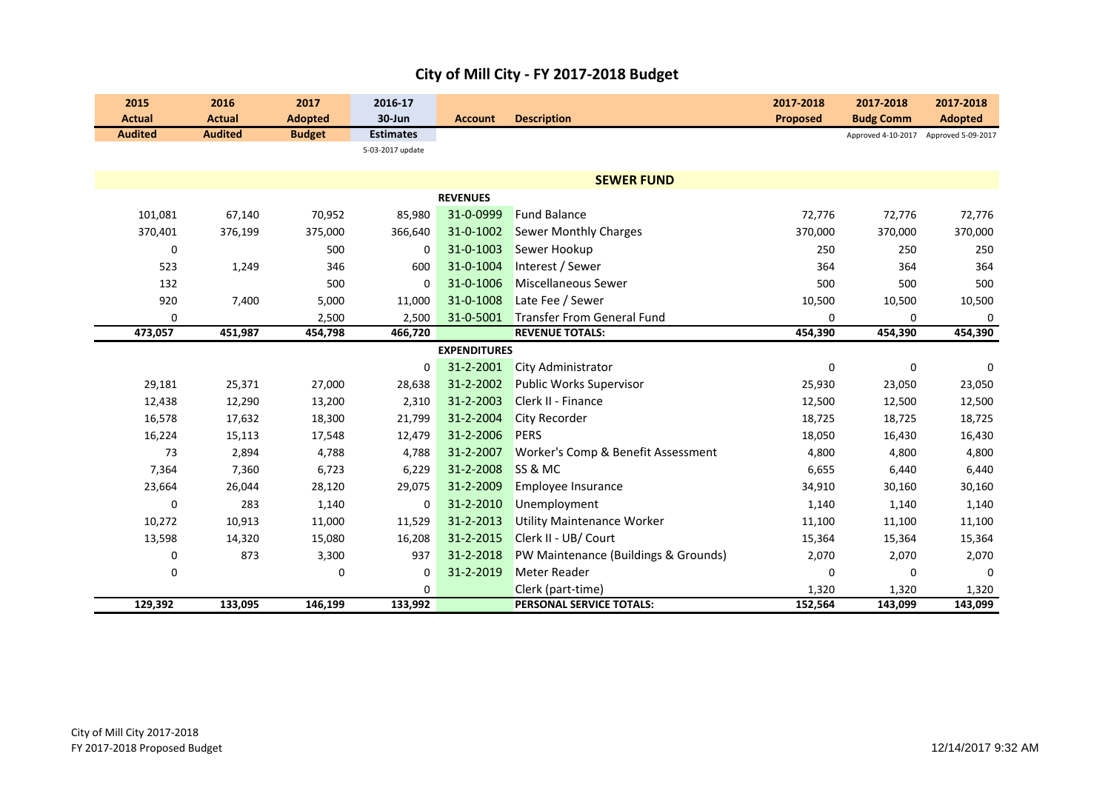|  |  | City of Mill City - FY 2017-2018 Budget |  |
|--|--|-----------------------------------------|--|
|--|--|-----------------------------------------|--|

| 2015           | 2016           | 2017           | 2016-17          |                     |                                      | 2017-2018       | 2017-2018                             | 2017-2018      |
|----------------|----------------|----------------|------------------|---------------------|--------------------------------------|-----------------|---------------------------------------|----------------|
| <b>Actual</b>  | <b>Actual</b>  | <b>Adopted</b> | 30-Jun           | <b>Account</b>      | <b>Description</b>                   | <b>Proposed</b> | <b>Budg Comm</b>                      | <b>Adopted</b> |
| <b>Audited</b> | <b>Audited</b> | <b>Budget</b>  | <b>Estimates</b> |                     |                                      |                 | Approved 4-10-2017 Approved 5-09-2017 |                |
|                |                |                | 5-03-2017 update |                     |                                      |                 |                                       |                |
|                |                |                |                  |                     |                                      |                 |                                       |                |
|                |                |                |                  |                     | <b>SEWER FUND</b>                    |                 |                                       |                |
|                |                |                |                  | <b>REVENUES</b>     |                                      |                 |                                       |                |
| 101,081        | 67,140         | 70,952         | 85,980           | 31-0-0999           | <b>Fund Balance</b>                  | 72,776          | 72,776                                | 72,776         |
| 370,401        | 376,199        | 375,000        | 366,640          | 31-0-1002           | <b>Sewer Monthly Charges</b>         | 370,000         | 370,000                               | 370,000        |
| 0              |                | 500            | 0                | 31-0-1003           | Sewer Hookup                         | 250             | 250                                   | 250            |
| 523            | 1,249          | 346            | 600              | 31-0-1004           | Interest / Sewer                     | 364             | 364                                   | 364            |
| 132            |                | 500            | 0                | 31-0-1006           | <b>Miscellaneous Sewer</b>           | 500             | 500                                   | 500            |
| 920            | 7,400          | 5,000          | 11,000           | 31-0-1008           | Late Fee / Sewer                     | 10,500          | 10,500                                | 10,500         |
| 0              |                | 2,500          | 2,500            | 31-0-5001           | <b>Transfer From General Fund</b>    | 0               | 0                                     | 0              |
| 473,057        | 451,987        | 454,798        | 466,720          |                     | <b>REVENUE TOTALS:</b>               | 454,390         | 454,390                               | 454,390        |
|                |                |                |                  | <b>EXPENDITURES</b> |                                      |                 |                                       |                |
|                |                |                | 0                | 31-2-2001           | City Administrator                   | $\mathbf 0$     | 0                                     | $\mathbf 0$    |
| 29,181         | 25,371         | 27,000         | 28,638           | 31-2-2002           | Public Works Supervisor              | 25,930          | 23,050                                | 23,050         |
| 12,438         | 12,290         | 13,200         | 2,310            | 31-2-2003           | Clerk II - Finance                   | 12,500          | 12,500                                | 12,500         |
| 16,578         | 17,632         | 18,300         | 21,799           | 31-2-2004           | City Recorder                        | 18,725          | 18,725                                | 18,725         |
| 16,224         | 15,113         | 17,548         | 12,479           | 31-2-2006           | <b>PERS</b>                          | 18,050          | 16,430                                | 16,430         |
| 73             | 2,894          | 4,788          | 4,788            | 31-2-2007           | Worker's Comp & Benefit Assessment   | 4,800           | 4,800                                 | 4,800          |
| 7,364          | 7,360          | 6,723          | 6,229            | 31-2-2008           | SS & MC                              | 6,655           | 6,440                                 | 6,440          |
| 23,664         | 26,044         | 28,120         | 29,075           | 31-2-2009           | Employee Insurance                   | 34,910          | 30,160                                | 30,160         |
| 0              | 283            | 1,140          | 0                | 31-2-2010           | Unemployment                         | 1,140           | 1,140                                 | 1,140          |
| 10,272         | 10,913         | 11,000         | 11,529           | 31-2-2013           | <b>Utility Maintenance Worker</b>    | 11,100          | 11,100                                | 11,100         |
| 13,598         | 14,320         | 15,080         | 16,208           | 31-2-2015           | Clerk II - UB/ Court                 | 15,364          | 15,364                                | 15,364         |
| 0              | 873            | 3,300          | 937              | 31-2-2018           | PW Maintenance (Buildings & Grounds) | 2,070           | 2,070                                 | 2,070          |
| 0              |                | 0              | 0                | 31-2-2019           | Meter Reader                         | 0               | 0                                     | $\mathbf 0$    |
|                |                |                | 0                |                     | Clerk (part-time)                    | 1,320           | 1,320                                 | 1,320          |
| 129,392        | 133,095        | 146,199        | 133,992          |                     | PERSONAL SERVICE TOTALS:             | 152,564         | 143,099                               | 143,099        |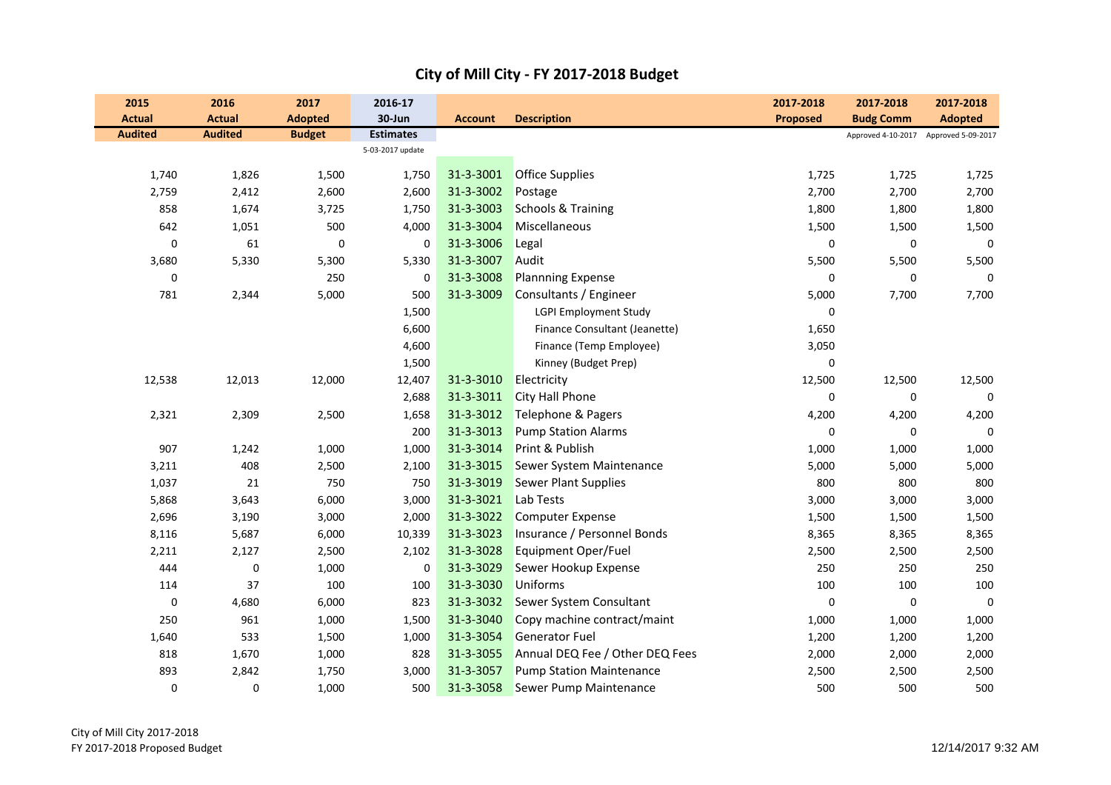| 2015<br><b>Actual</b> | 2016<br><b>Actual</b> | 2017<br><b>Adopted</b> | 2016-17<br>30-Jun | <b>Account</b> | <b>Description</b>              | 2017-2018<br><b>Proposed</b> | 2017-2018<br><b>Budg Comm</b>         | 2017-2018<br><b>Adopted</b> |
|-----------------------|-----------------------|------------------------|-------------------|----------------|---------------------------------|------------------------------|---------------------------------------|-----------------------------|
| <b>Audited</b>        | <b>Audited</b>        | <b>Budget</b>          | <b>Estimates</b>  |                |                                 |                              | Approved 4-10-2017 Approved 5-09-2017 |                             |
|                       |                       |                        | 5-03-2017 update  |                |                                 |                              |                                       |                             |
| 1,740                 | 1,826                 | 1,500                  | 1,750             | 31-3-3001      | <b>Office Supplies</b>          | 1,725                        | 1,725                                 | 1,725                       |
| 2,759                 | 2,412                 | 2,600                  | 2,600             | 31-3-3002      | Postage                         | 2,700                        | 2,700                                 | 2,700                       |
| 858                   | 1,674                 | 3,725                  | 1,750             | 31-3-3003      | <b>Schools &amp; Training</b>   | 1,800                        | 1,800                                 | 1,800                       |
| 642                   | 1,051                 | 500                    | 4,000             | 31-3-3004      | Miscellaneous                   | 1,500                        | 1,500                                 | 1,500                       |
| 0                     | 61                    | 0                      | 0                 | 31-3-3006      | Legal                           | $\mathbf 0$                  | 0                                     | $\mathbf 0$                 |
| 3,680                 | 5,330                 | 5,300                  | 5,330             | 31-3-3007      | Audit                           | 5,500                        | 5,500                                 | 5,500                       |
| 0                     |                       | 250                    | 0                 | 31-3-3008      | <b>Plannning Expense</b>        | $\mathbf 0$                  | $\mathbf 0$                           | $\mathbf 0$                 |
| 781                   | 2,344                 | 5,000                  | 500               | 31-3-3009      | Consultants / Engineer          | 5,000                        | 7,700                                 | 7,700                       |
|                       |                       |                        | 1,500             |                | <b>LGPI Employment Study</b>    | $\pmb{0}$                    |                                       |                             |
|                       |                       |                        | 6,600             |                | Finance Consultant (Jeanette)   | 1,650                        |                                       |                             |
|                       |                       |                        | 4,600             |                | Finance (Temp Employee)         | 3,050                        |                                       |                             |
|                       |                       |                        | 1,500             |                | Kinney (Budget Prep)            | $\mathbf 0$                  |                                       |                             |
| 12,538                | 12,013                | 12,000                 | 12,407            | 31-3-3010      | Electricity                     | 12,500                       | 12,500                                | 12,500                      |
|                       |                       |                        | 2,688             | 31-3-3011      | <b>City Hall Phone</b>          | $\mathbf 0$                  | 0                                     | $\mathbf 0$                 |
| 2,321                 | 2,309                 | 2,500                  | 1,658             | 31-3-3012      | Telephone & Pagers              | 4,200                        | 4,200                                 | 4,200                       |
|                       |                       |                        | 200               | 31-3-3013      | <b>Pump Station Alarms</b>      | 0                            | 0                                     | $\mathbf 0$                 |
| 907                   | 1,242                 | 1,000                  | 1,000             | 31-3-3014      | Print & Publish                 | 1,000                        | 1,000                                 | 1,000                       |
| 3,211                 | 408                   | 2,500                  | 2,100             | 31-3-3015      | Sewer System Maintenance        | 5,000                        | 5,000                                 | 5,000                       |
| 1,037                 | 21                    | 750                    | 750               | 31-3-3019      | <b>Sewer Plant Supplies</b>     | 800                          | 800                                   | 800                         |
| 5,868                 | 3,643                 | 6,000                  | 3,000             | 31-3-3021      | Lab Tests                       | 3,000                        | 3,000                                 | 3,000                       |
| 2,696                 | 3,190                 | 3,000                  | 2,000             | 31-3-3022      | <b>Computer Expense</b>         | 1,500                        | 1,500                                 | 1,500                       |
| 8,116                 | 5,687                 | 6,000                  | 10,339            | 31-3-3023      | Insurance / Personnel Bonds     | 8,365                        | 8,365                                 | 8,365                       |
| 2,211                 | 2,127                 | 2,500                  | 2,102             | 31-3-3028      | <b>Equipment Oper/Fuel</b>      | 2,500                        | 2,500                                 | 2,500                       |
| 444                   | 0                     | 1,000                  | 0                 | 31-3-3029      | Sewer Hookup Expense            | 250                          | 250                                   | 250                         |
| 114                   | 37                    | 100                    | 100               | 31-3-3030      | <b>Uniforms</b>                 | 100                          | 100                                   | 100                         |
| $\pmb{0}$             | 4,680                 | 6,000                  | 823               | 31-3-3032      | Sewer System Consultant         | $\pmb{0}$                    | $\pmb{0}$                             | $\mathbf 0$                 |
| 250                   | 961                   | 1,000                  | 1,500             | 31-3-3040      | Copy machine contract/maint     | 1,000                        | 1,000                                 | 1,000                       |
| 1,640                 | 533                   | 1,500                  | 1,000             | 31-3-3054      | <b>Generator Fuel</b>           | 1,200                        | 1,200                                 | 1,200                       |
| 818                   | 1,670                 | 1,000                  | 828               | 31-3-3055      | Annual DEQ Fee / Other DEQ Fees | 2,000                        | 2,000                                 | 2,000                       |
| 893                   | 2,842                 | 1,750                  | 3,000             | 31-3-3057      | <b>Pump Station Maintenance</b> | 2,500                        | 2,500                                 | 2,500                       |
| 0                     | $\mathbf 0$           | 1,000                  | 500               | 31-3-3058      | Sewer Pump Maintenance          | 500                          | 500                                   | 500                         |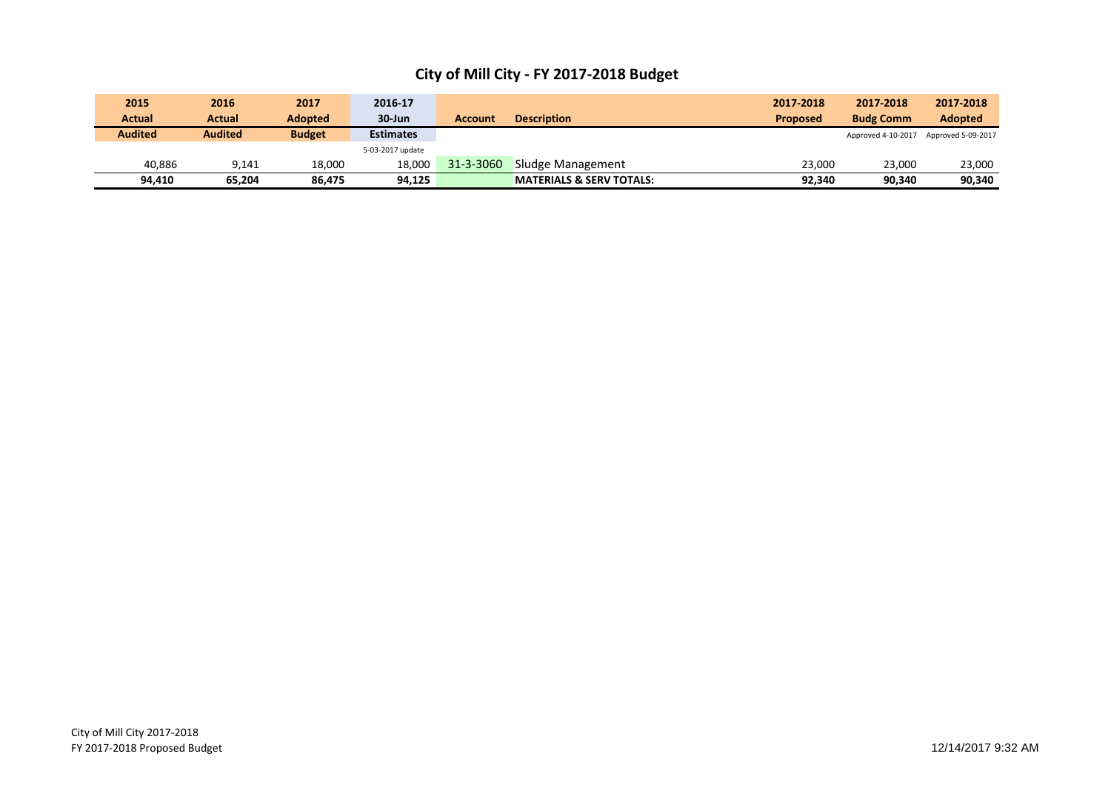| 2015           | 2016           | 2017          | 2016-17          |                |                                     | 2017-2018       | 2017-2018          | 2017-2018          |
|----------------|----------------|---------------|------------------|----------------|-------------------------------------|-----------------|--------------------|--------------------|
| Actual         | Actual         | Adopted       | $30 - Jun$       | <b>Account</b> | <b>Description</b>                  | <b>Proposed</b> | <b>Budg Comm</b>   | <b>Adopted</b>     |
| <b>Audited</b> | <b>Audited</b> | <b>Budget</b> | <b>Estimates</b> |                |                                     |                 | Approved 4-10-2017 | Approved 5-09-2017 |
|                |                |               | 5-03-2017 update |                |                                     |                 |                    |                    |
| 40.886         | 9,141          | 18.000        | 18.000           | 31-3-3060      | Sludge Management                   | 23.000          | 23,000             | 23,000             |
| 94,410         | 65.204         | 86.475        | 94,125           |                | <b>MATERIALS &amp; SERV TOTALS:</b> | 92.340          | 90.340             | 90,340             |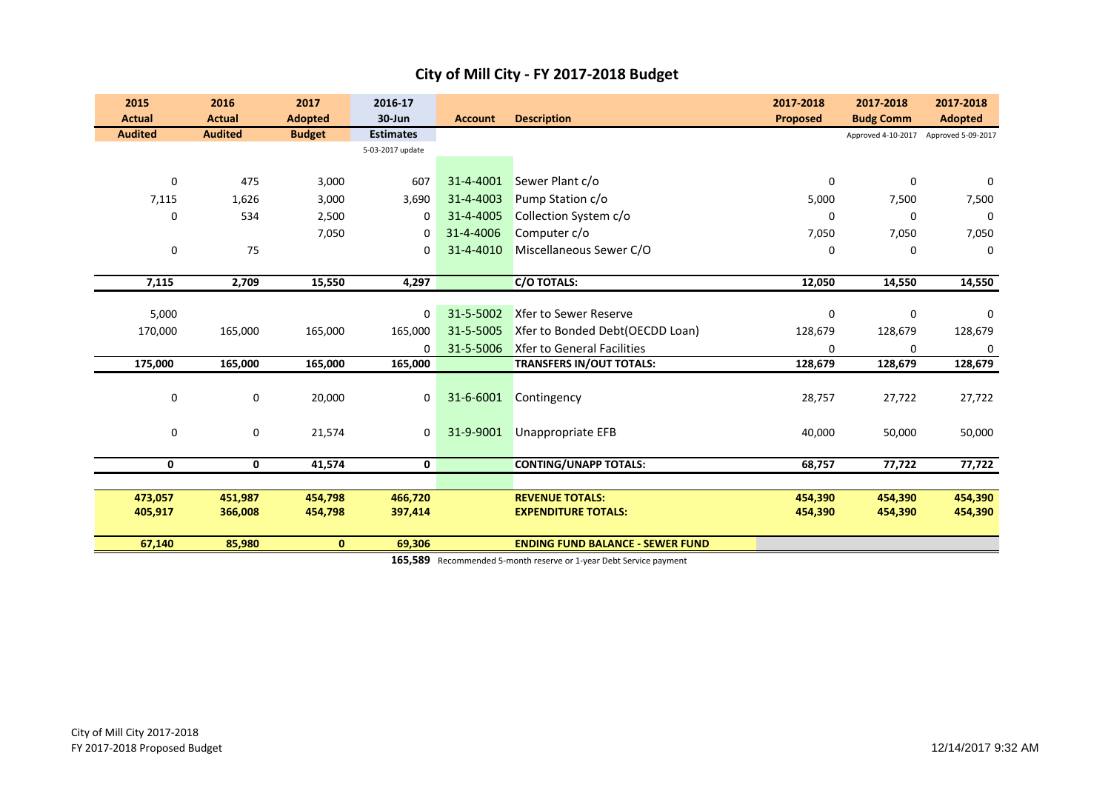| 2015<br><b>Actual</b> | 2016<br><b>Actual</b> | 2017<br><b>Adopted</b> | 2016-17<br>$30 - Jun$ | <b>Account</b> | <b>Description</b>                      | 2017-2018<br><b>Proposed</b> | 2017-2018<br><b>Budg Comm</b> | 2017-2018<br><b>Adopted</b> |
|-----------------------|-----------------------|------------------------|-----------------------|----------------|-----------------------------------------|------------------------------|-------------------------------|-----------------------------|
| <b>Audited</b>        | <b>Audited</b>        | <b>Budget</b>          | <b>Estimates</b>      |                |                                         |                              | Approved 4-10-2017            | Approved 5-09-2017          |
|                       |                       |                        | 5-03-2017 update      |                |                                         |                              |                               |                             |
|                       |                       |                        |                       |                |                                         |                              |                               |                             |
| 0                     | 475                   | 3,000                  | 607                   | 31-4-4001      | Sewer Plant c/o                         | 0                            | 0                             | $\Omega$                    |
| 7,115                 | 1,626                 | 3,000                  | 3,690                 | 31-4-4003      | Pump Station c/o                        | 5,000                        | 7,500                         | 7,500                       |
| $\mathbf 0$           | 534                   | 2,500                  | 0                     | 31-4-4005      | Collection System c/o                   | 0                            | 0                             | 0                           |
|                       |                       | 7,050                  | 0                     | 31-4-4006      | Computer c/o                            | 7,050                        | 7,050                         | 7,050                       |
| 0                     | 75                    |                        | 0                     | 31-4-4010      | Miscellaneous Sewer C/O                 | 0                            | 0                             | 0                           |
|                       |                       |                        |                       |                |                                         |                              |                               |                             |
| 7,115                 | 2,709                 | 15,550                 | 4,297                 |                | <b>C/O TOTALS:</b>                      | 12,050                       | 14,550                        | 14,550                      |
|                       |                       |                        |                       |                |                                         |                              |                               |                             |
| 5,000                 |                       |                        | $\mathbf{0}$          | 31-5-5002      | Xfer to Sewer Reserve                   | $\mathbf 0$                  | 0                             | $\Omega$                    |
| 170,000               | 165,000               | 165,000                | 165,000               | 31-5-5005      | Xfer to Bonded Debt(OECDD Loan)         | 128,679                      | 128,679                       | 128,679                     |
|                       |                       |                        | $\Omega$              | 31-5-5006      | <b>Xfer to General Facilities</b>       | $\Omega$                     | $\mathbf 0$                   | 0                           |
| 175,000               | 165,000               | 165,000                | 165,000               |                | <b>TRANSFERS IN/OUT TOTALS:</b>         | 128,679                      | 128,679                       | 128,679                     |
|                       |                       |                        |                       |                |                                         |                              |                               |                             |
| $\pmb{0}$             | $\pmb{0}$             | 20,000                 | 0                     | 31-6-6001      | Contingency                             | 28,757                       | 27,722                        | 27,722                      |
|                       |                       |                        |                       |                |                                         |                              |                               |                             |
| $\mathbf 0$           | 0                     | 21,574                 | $\mathbf 0$           | 31-9-9001      | Unappropriate EFB                       | 40,000                       | 50,000                        | 50,000                      |
|                       |                       |                        |                       |                |                                         |                              |                               |                             |
| 0                     | 0                     | 41,574                 | $\mathbf 0$           |                | <b>CONTING/UNAPP TOTALS:</b>            | 68,757                       | 77,722                        | 77,722                      |
|                       |                       |                        |                       |                |                                         |                              |                               |                             |
| 473,057               | 451,987               | 454,798                | 466,720               |                | <b>REVENUE TOTALS:</b>                  | 454,390                      | 454,390                       | 454,390                     |
| 405,917               | 366,008               | 454,798                | 397,414               |                | <b>EXPENDITURE TOTALS:</b>              | 454,390                      | 454,390                       | 454,390                     |
| 67,140                | 85,980                | $\mathbf{0}$           | 69,306                |                | <b>ENDING FUND BALANCE - SEWER FUND</b> |                              |                               |                             |

**165,589** Recommended 5-month reserve or 1-year Debt Service payment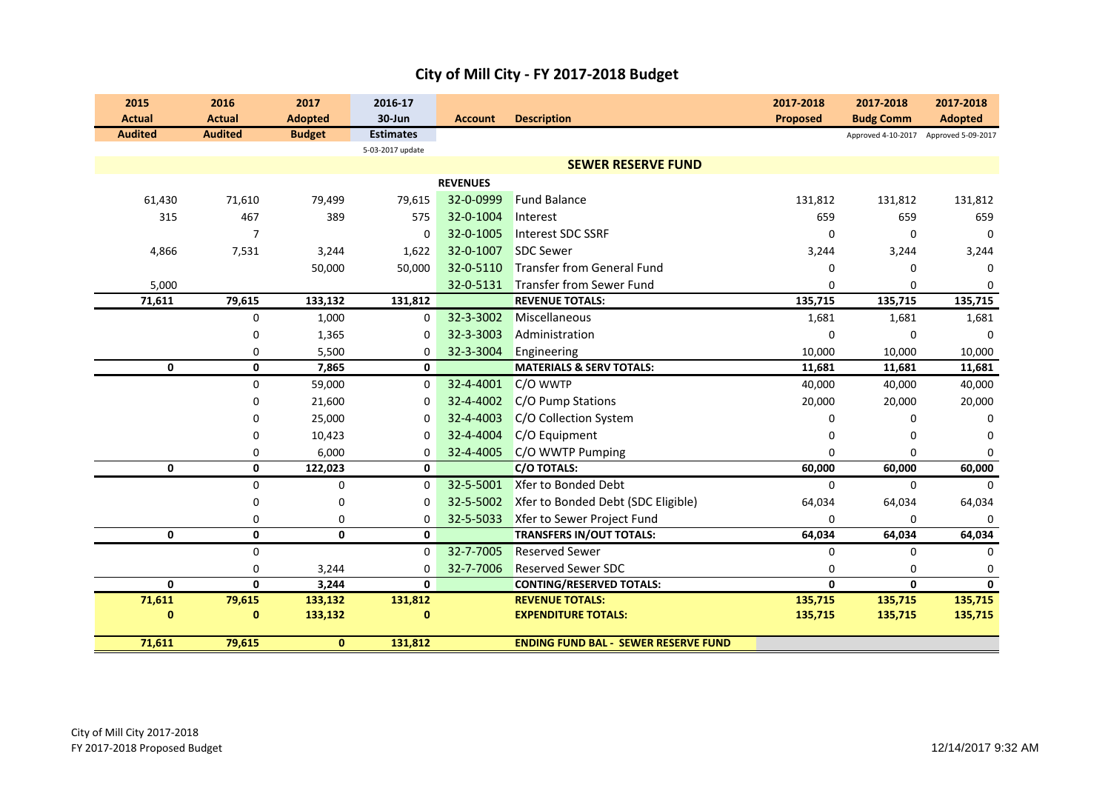|  | City of Mill City - FY 2017-2018 Budget |
|--|-----------------------------------------|
|--|-----------------------------------------|

| 2015           | 2016           | 2017           | 2016-17          |                 |                                             | 2017-2018       | 2017-2018                             | 2017-2018      |
|----------------|----------------|----------------|------------------|-----------------|---------------------------------------------|-----------------|---------------------------------------|----------------|
| <b>Actual</b>  | <b>Actual</b>  | <b>Adopted</b> | 30-Jun           | <b>Account</b>  | <b>Description</b>                          | <b>Proposed</b> | <b>Budg Comm</b>                      | <b>Adopted</b> |
| <b>Audited</b> | <b>Audited</b> | <b>Budget</b>  | <b>Estimates</b> |                 |                                             |                 | Approved 4-10-2017 Approved 5-09-2017 |                |
|                |                |                | 5-03-2017 update |                 |                                             |                 |                                       |                |
|                |                |                |                  |                 | <b>SEWER RESERVE FUND</b>                   |                 |                                       |                |
|                |                |                |                  | <b>REVENUES</b> |                                             |                 |                                       |                |
| 61,430         | 71,610         | 79,499         | 79,615           | 32-0-0999       | <b>Fund Balance</b>                         | 131,812         | 131,812                               | 131,812        |
| 315            | 467            | 389            | 575              | 32-0-1004       | Interest                                    | 659             | 659                                   | 659            |
|                | 7              |                | 0                | 32-0-1005       | Interest SDC SSRF                           | 0               | 0                                     | $\mathbf 0$    |
| 4,866          | 7,531          | 3,244          | 1,622            | 32-0-1007       | <b>SDC Sewer</b>                            | 3,244           | 3,244                                 | 3,244          |
|                |                | 50,000         | 50,000           | 32-0-5110       | <b>Transfer from General Fund</b>           | $\Omega$        | 0                                     | 0              |
| 5,000          |                |                |                  | 32-0-5131       | <b>Transfer from Sewer Fund</b>             | 0               | 0                                     | $\Omega$       |
| 71,611         | 79,615         | 133,132        | 131,812          |                 | <b>REVENUE TOTALS:</b>                      | 135,715         | 135,715                               | 135,715        |
|                | 0              | 1,000          | 0                | 32-3-3002       | Miscellaneous                               | 1,681           | 1,681                                 | 1,681          |
|                | 0              | 1,365          | 0                | 32-3-3003       | Administration                              | $\mathbf 0$     | 0                                     | $\Omega$       |
|                | 0              | 5,500          | 0                | 32-3-3004       | Engineering                                 | 10,000          | 10,000                                | 10,000         |
| 0              | 0              | 7,865          | 0                |                 | <b>MATERIALS &amp; SERV TOTALS:</b>         | 11,681          | 11,681                                | 11,681         |
|                | 0              | 59,000         | 0                | 32-4-4001       | C/O WWTP                                    | 40,000          | 40,000                                | 40,000         |
|                | 0              | 21,600         | 0                | 32-4-4002       | C/O Pump Stations                           | 20,000          | 20,000                                | 20,000         |
|                | 0              | 25,000         | 0                | 32-4-4003       | C/O Collection System                       | 0               | 0                                     | $\Omega$       |
|                | $\mathbf 0$    | 10,423         | $\Omega$         | 32-4-4004       | C/O Equipment                               | 0               | $\Omega$                              | $\Omega$       |
|                | 0              | 6,000          | 0                | 32-4-4005       | C/O WWTP Pumping                            | $\Omega$        | 0                                     | $\Omega$       |
| 0              | 0              | 122,023        | 0                |                 | <b>C/O TOTALS:</b>                          | 60,000          | 60,000                                | 60,000         |
|                | $\mathbf 0$    | 0              | 0                | 32-5-5001       | Xfer to Bonded Debt                         | $\mathbf 0$     | 0                                     | $\Omega$       |
|                | $\mathbf 0$    | 0              | 0                | 32-5-5002       | Xfer to Bonded Debt (SDC Eligible)          | 64,034          | 64,034                                | 64,034         |
|                | $\mathbf 0$    | 0              | 0                | 32-5-5033       | Xfer to Sewer Project Fund                  | $\Omega$        | $\mathbf 0$                           |                |
| 0              | 0              | 0              | 0                |                 | <b>TRANSFERS IN/OUT TOTALS:</b>             | 64,034          | 64,034                                | 64,034         |
|                | $\mathbf 0$    |                | $\Omega$         | 32-7-7005       | <b>Reserved Sewer</b>                       | $\mathbf 0$     | $\Omega$                              | $\Omega$       |
|                | $\mathbf 0$    | 3,244          | 0                | 32-7-7006       | <b>Reserved Sewer SDC</b>                   | $\mathbf 0$     | $\mathbf 0$                           | $\mathbf 0$    |
| $\mathbf{0}$   | 0              | 3,244          | $\mathbf{0}$     |                 | <b>CONTING/RESERVED TOTALS:</b>             | $\mathbf{0}$    | 0                                     | $\mathbf{0}$   |
| 71,611         | 79,615         | 133,132        | 131,812          |                 | <b>REVENUE TOTALS:</b>                      | 135,715         | 135,715                               | 135,715        |
| 0              | $\bf{0}$       | 133,132        | $\bf{0}$         |                 | <b>EXPENDITURE TOTALS:</b>                  | 135,715         | 135,715                               | 135,715        |
| 71,611         | 79,615         | $\mathbf{0}$   | 131,812          |                 | <b>ENDING FUND BAL - SEWER RESERVE FUND</b> |                 |                                       |                |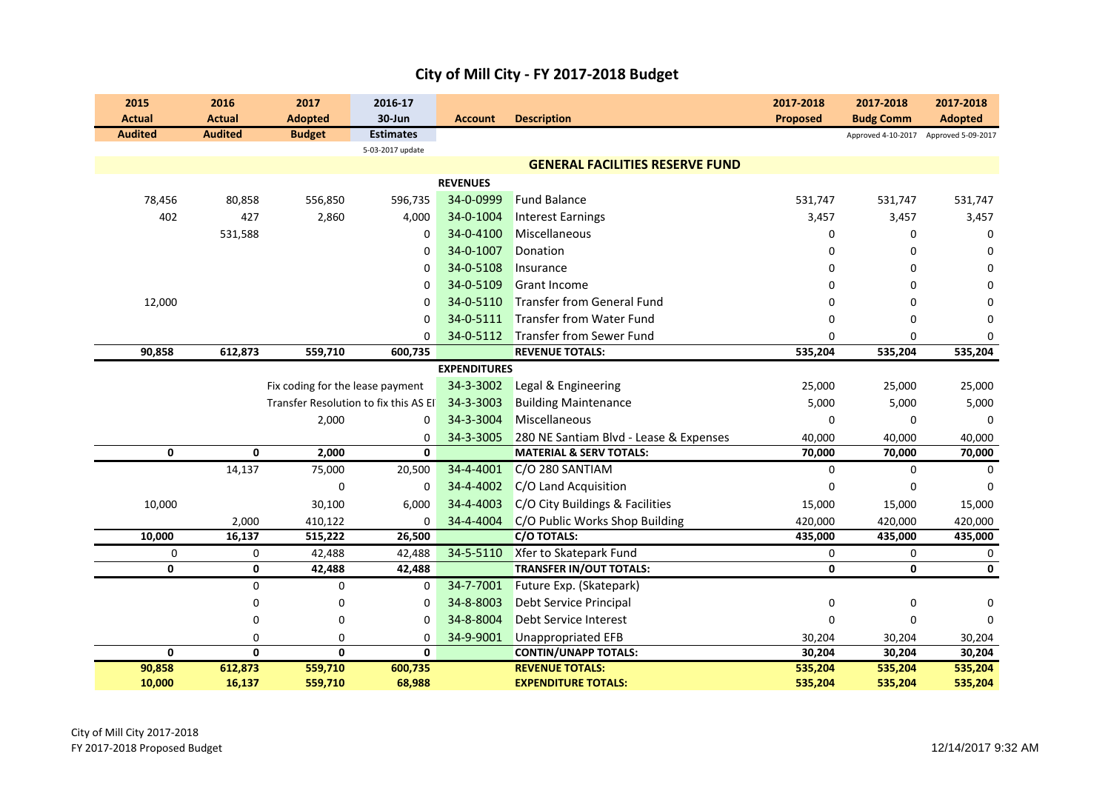| 2015<br><b>Actual</b> | 2016<br><b>Actual</b>      | 2017<br><b>Adopted</b>                 | 2016-17<br>30-Jun                     | <b>Account</b>      | <b>Description</b>                                       | 2017-2018<br><b>Proposed</b> | 2017-2018<br><b>Budg Comm</b> | 2017-2018<br><b>Adopted</b> |
|-----------------------|----------------------------|----------------------------------------|---------------------------------------|---------------------|----------------------------------------------------------|------------------------------|-------------------------------|-----------------------------|
| <b>Audited</b>        | <b>Audited</b>             | <b>Budget</b>                          | <b>Estimates</b>                      |                     |                                                          |                              | Approved 4-10-2017            | Approved 5-09-2017          |
|                       |                            |                                        | 5-03-2017 update                      |                     |                                                          |                              |                               |                             |
|                       |                            |                                        |                                       |                     | <b>GENERAL FACILITIES RESERVE FUND</b>                   |                              |                               |                             |
|                       |                            |                                        |                                       | <b>REVENUES</b>     |                                                          |                              |                               |                             |
| 78,456                | 80,858                     | 556,850                                | 596,735                               | 34-0-0999           | <b>Fund Balance</b>                                      | 531,747                      | 531,747                       | 531,747                     |
| 402                   | 427                        | 2,860                                  | 4,000                                 | 34-0-1004           | <b>Interest Earnings</b>                                 | 3,457                        | 3,457                         | 3,457                       |
|                       | 531,588                    |                                        | $\mathbf 0$                           | 34-0-4100           | Miscellaneous                                            | $\Omega$                     | $\mathbf 0$                   | $\Omega$                    |
|                       |                            |                                        | $\mathbf 0$                           | 34-0-1007           | Donation                                                 | $\Omega$                     | $\mathbf 0$                   | $\Omega$                    |
|                       |                            |                                        | 0                                     | 34-0-5108           | Insurance                                                | $\Omega$                     | $\Omega$                      | $\Omega$                    |
|                       |                            |                                        | 0                                     | 34-0-5109           | <b>Grant Income</b>                                      | $\Omega$                     | 0                             | $\Omega$                    |
| 12,000                |                            |                                        | 0                                     | 34-0-5110           | Transfer from General Fund                               | 0                            | $\mathbf 0$                   | 0                           |
|                       |                            |                                        | 0                                     | 34-0-5111           | <b>Transfer from Water Fund</b>                          | $\mathbf 0$                  | $\mathbf 0$                   | $\Omega$                    |
|                       |                            |                                        | $\Omega$                              | 34-0-5112           | Transfer from Sewer Fund                                 | $\Omega$                     | $\Omega$                      | $\Omega$                    |
| 90,858                | 612,873                    | 559,710                                | 600,735                               |                     | <b>REVENUE TOTALS:</b>                                   | 535,204                      | 535,204                       | 535,204                     |
|                       |                            |                                        |                                       | <b>EXPENDITURES</b> |                                                          |                              |                               |                             |
|                       |                            | Fix coding for the lease payment       |                                       | 34-3-3002           | Legal & Engineering                                      | 25,000                       | 25,000                        | 25,000                      |
|                       |                            |                                        | Transfer Resolution to fix this AS EI | 34-3-3003           | <b>Building Maintenance</b>                              | 5,000                        | 5,000                         | 5,000                       |
|                       |                            | 2,000                                  | $\mathbf 0$                           | 34-3-3004           | Miscellaneous                                            | $\mathbf 0$                  | $\mathbf 0$                   | $\Omega$                    |
|                       |                            |                                        | 0                                     | 34-3-3005           | 280 NE Santiam Blvd - Lease & Expenses                   | 40,000                       | 40,000                        | 40,000                      |
| 0                     | 0                          | 2,000                                  | 0                                     |                     | <b>MATERIAL &amp; SERV TOTALS:</b>                       | 70,000                       | 70,000                        | 70,000                      |
|                       | 14,137                     | 75,000                                 | 20,500                                | 34-4-4001           | C/O 280 SANTIAM                                          | $\mathbf 0$                  | $\mathbf 0$                   | $\Omega$                    |
|                       |                            | $\mathbf 0$                            | $\mathbf 0$                           | 34-4-4002           | C/O Land Acquisition                                     | $\Omega$                     | $\mathbf 0$                   | $\Omega$                    |
| 10,000                |                            | 30,100                                 | 6,000                                 | 34-4-4003           | C/O City Buildings & Facilities                          | 15,000                       | 15,000                        | 15,000                      |
|                       | 2,000                      | 410,122                                | $\Omega$                              | 34-4-4004           | C/O Public Works Shop Building                           | 420,000                      | 420,000                       | 420,000                     |
| 10,000                | 16,137                     | 515,222                                | 26,500                                |                     | <b>C/O TOTALS:</b>                                       | 435,000                      | 435,000                       | 435,000                     |
| 0                     | 0                          | 42,488                                 | 42,488                                | 34-5-5110           | Xfer to Skatepark Fund                                   | $\mathbf 0$                  | 0                             | 0                           |
| 0                     | 0                          | 42,488                                 | 42,488                                |                     | <b>TRANSFER IN/OUT TOTALS:</b>                           | $\mathbf 0$                  | 0                             | $\mathbf 0$                 |
|                       | 0                          | 0                                      | $\mathbf 0$                           | 34-7-7001           | Future Exp. (Skatepark)                                  |                              |                               |                             |
|                       | 0                          | 0                                      | 0                                     | 34-8-8003           | <b>Debt Service Principal</b>                            | $\mathbf 0$                  | 0                             | 0                           |
|                       | 0                          | 0                                      | $\mathbf 0$                           | 34-8-8004           | Debt Service Interest                                    | $\Omega$                     | $\mathbf 0$                   | $\Omega$                    |
| 0                     | $\Omega$<br>$\overline{0}$ | $\mathbf 0$<br>$\overline{\mathbf{0}}$ | $\mathbf 0$<br>$\mathbf{0}$           | 34-9-9001           | <b>Unappropriated EFB</b><br><b>CONTIN/UNAPP TOTALS:</b> | 30,204<br>30,204             | 30,204<br>30,204              | 30,204<br>30,204            |
| 90,858                | 612,873                    | 559,710                                | 600,735                               |                     | <b>REVENUE TOTALS:</b>                                   | 535,204                      | 535,204                       | 535,204                     |
| 10,000                | 16,137                     | 559,710                                | 68,988                                |                     | <b>EXPENDITURE TOTALS:</b>                               | 535,204                      | 535,204                       | 535,204                     |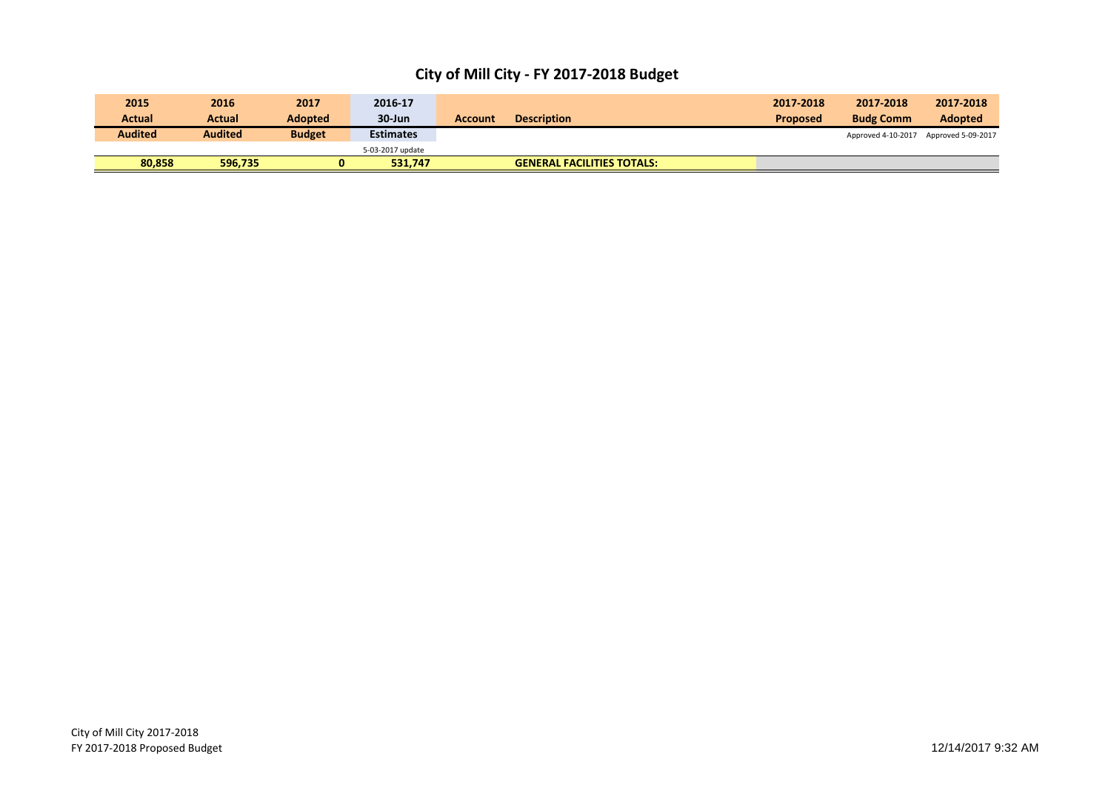| 80.858         | 596,735        | 0              | 531,747          |         | <b>GENERAL FACILITIES TOTALS:</b> |                 |                    |                    |
|----------------|----------------|----------------|------------------|---------|-----------------------------------|-----------------|--------------------|--------------------|
|                |                |                | 5-03-2017 update |         |                                   |                 |                    |                    |
| <b>Audited</b> | <b>Audited</b> | <b>Budget</b>  | <b>Estimates</b> |         |                                   |                 | Approved 4-10-2017 | Approved 5-09-2017 |
| <b>Actual</b>  | Actual         | <b>Adopted</b> | 30-Jun           | Account | <b>Description</b>                | <b>Proposed</b> | <b>Budg Comm</b>   | <b>Adopted</b>     |
| 2015           | 2016           | 2017           | 2016-17          |         |                                   | 2017-2018       | 2017-2018          | 2017-2018          |